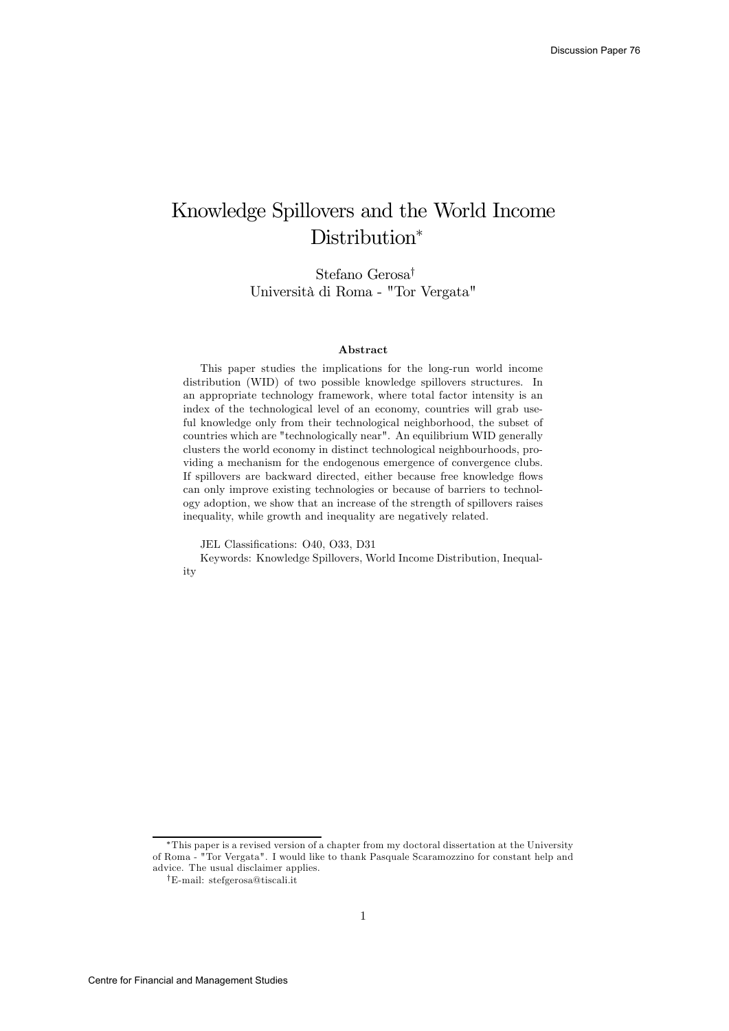# Knowledge Spillovers and the World Income Distribution<sup>\*</sup>

Stefano Gerosa† Università di Roma - "Tor Vergata"

#### Abstract

This paper studies the implications for the long-run world income distribution (WID) of two possible knowledge spillovers structures. In an appropriate technology framework, where total factor intensity is an index of the technological level of an economy, countries will grab useful knowledge only from their technological neighborhood, the subset of countries which are "technologically near". An equilibrium WID generally clusters the world economy in distinct technological neighbourhoods, providing a mechanism for the endogenous emergence of convergence clubs. If spillovers are backward directed, either because free knowledge flows can only improve existing technologies or because of barriers to technology adoption, we show that an increase of the strength of spillovers raises inequality, while growth and inequality are negatively related.

JEL Classifications: O40, O33, D31

Keywords: Knowledge Spillovers, World Income Distribution, Inequality

<sup>∗</sup>This paper is a revised version of a chapter from my doctoral dissertation at the University of Roma - "Tor Vergata". I would like to thank Pasquale Scaramozzino for constant help and advice. The usual disclaimer applies.

<sup>†</sup>E-mail: stefgerosa@tiscali.it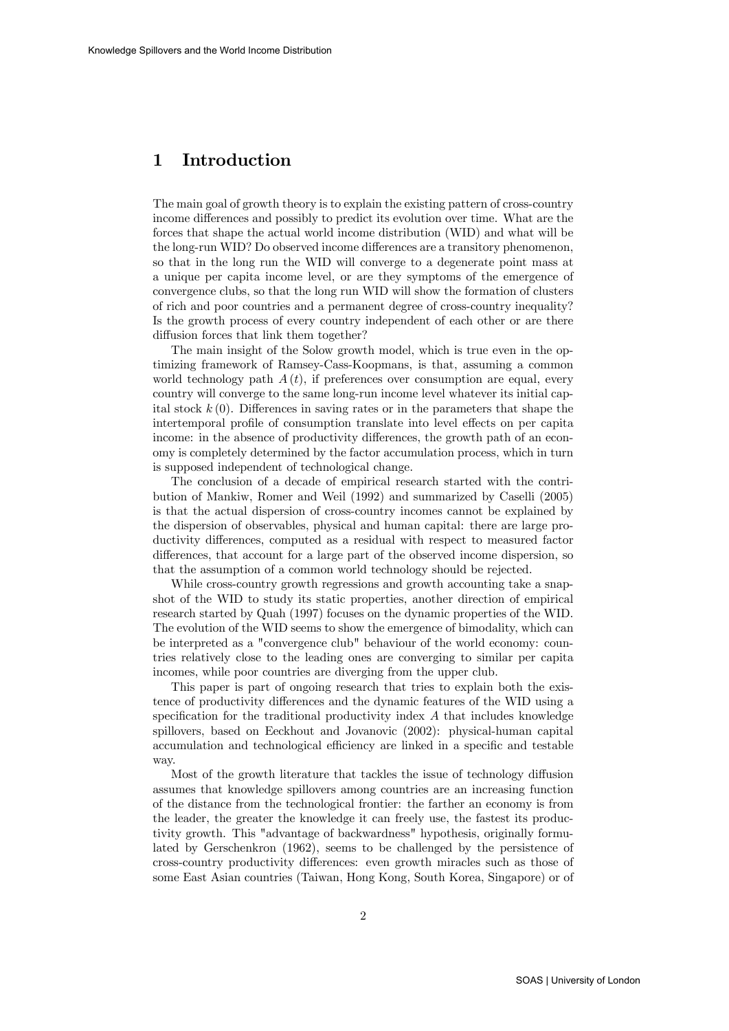## 1 Introduction

The main goal of growth theory is to explain the existing pattern of cross-country income differences and possibly to predict its evolution over time. What are the forces that shape the actual world income distribution (WID) and what will be the long-run WID? Do observed income differences are a transitory phenomenon, so that in the long run the WID will converge to a degenerate point mass at a unique per capita income level, or are they symptoms of the emergence of convergence clubs, so that the long run WID will show the formation of clusters of rich and poor countries and a permanent degree of cross-country inequality? Is the growth process of every country independent of each other or are there diffusion forces that link them together?

The main insight of the Solow growth model, which is true even in the optimizing framework of Ramsey-Cass-Koopmans, is that, assuming a common world technology path  $A(t)$ , if preferences over consumption are equal, every country will converge to the same long-run income level whatever its initial capital stock  $k(0)$ . Differences in saving rates or in the parameters that shape the intertemporal profile of consumption translate into level effects on per capita income: in the absence of productivity differences, the growth path of an economy is completely determined by the factor accumulation process, which in turn is supposed independent of technological change.

The conclusion of a decade of empirical research started with the contribution of Mankiw, Romer and Weil (1992) and summarized by Caselli (2005) is that the actual dispersion of cross-country incomes cannot be explained by the dispersion of observables, physical and human capital: there are large productivity differences, computed as a residual with respect to measured factor differences, that account for a large part of the observed income dispersion, so that the assumption of a common world technology should be rejected.

While cross-country growth regressions and growth accounting take a snapshot of the WID to study its static properties, another direction of empirical research started by Quah (1997) focuses on the dynamic properties of the WID. The evolution of the WID seems to show the emergence of bimodality, which can be interpreted as a "convergence club" behaviour of the world economy: countries relatively close to the leading ones are converging to similar per capita incomes, while poor countries are diverging from the upper club.

This paper is part of ongoing research that tries to explain both the existence of productivity differences and the dynamic features of the WID using a specification for the traditional productivity index  $A$  that includes knowledge spillovers, based on Eeckhout and Jovanovic (2002): physical-human capital accumulation and technological efficiency are linked in a specific and testable way.

Most of the growth literature that tackles the issue of technology diffusion assumes that knowledge spillovers among countries are an increasing function of the distance from the technological frontier: the farther an economy is from the leader, the greater the knowledge it can freely use, the fastest its productivity growth. This "advantage of backwardness" hypothesis, originally formulated by Gerschenkron (1962), seems to be challenged by the persistence of cross-country productivity differences: even growth miracles such as those of some East Asian countries (Taiwan, Hong Kong, South Korea, Singapore) or of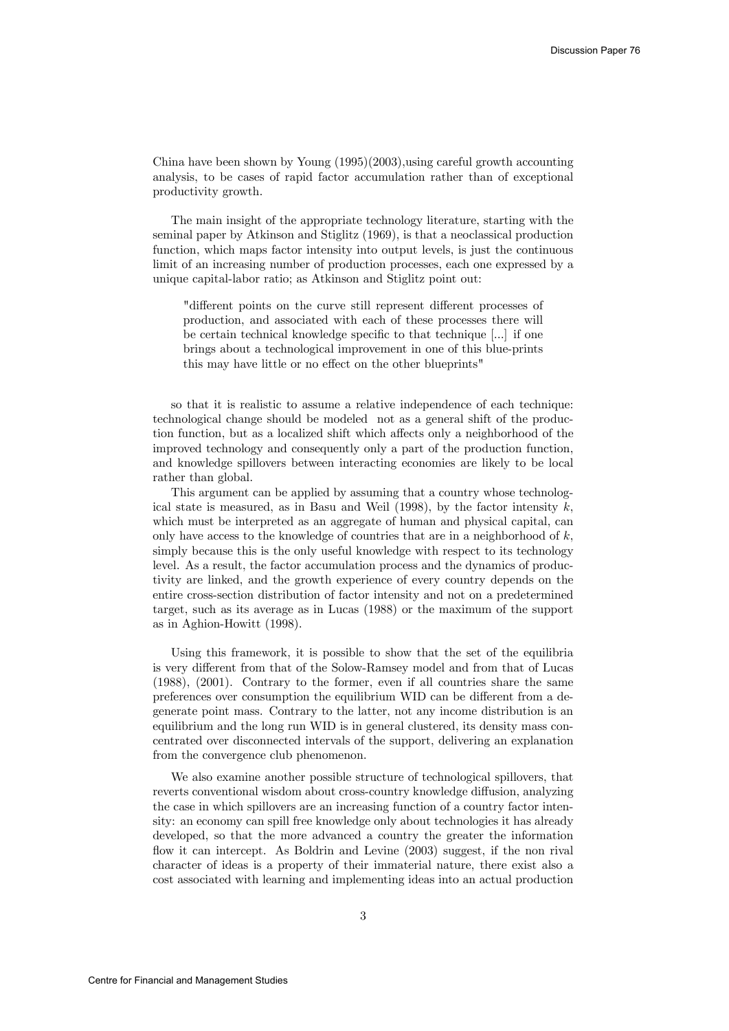China have been shown by Young (1995)(2003),using careful growth accounting analysis, to be cases of rapid factor accumulation rather than of exceptional productivity growth.

The main insight of the appropriate technology literature, starting with the seminal paper by Atkinson and Stiglitz (1969), is that a neoclassical production function, which maps factor intensity into output levels, is just the continuous limit of an increasing number of production processes, each one expressed by a unique capital-labor ratio; as Atkinson and Stiglitz point out:

"different points on the curve still represent different processes of production, and associated with each of these processes there will be certain technical knowledge specific to that technique [...] if one brings about a technological improvement in one of this blue-prints this may have little or no effect on the other blueprints"

so that it is realistic to assume a relative independence of each technique: technological change should be modeled not as a general shift of the production function, but as a localized shift which affects only a neighborhood of the improved technology and consequently only a part of the production function, and knowledge spillovers between interacting economies are likely to be local rather than global.

This argument can be applied by assuming that a country whose technological state is measured, as in Basu and Weil  $(1998)$ , by the factor intensity k, which must be interpreted as an aggregate of human and physical capital, can only have access to the knowledge of countries that are in a neighborhood of  $k$ . simply because this is the only useful knowledge with respect to its technology level. As a result, the factor accumulation process and the dynamics of productivity are linked, and the growth experience of every country depends on the entire cross-section distribution of factor intensity and not on a predetermined target, such as its average as in Lucas (1988) or the maximum of the support as in Aghion-Howitt (1998).

Using this framework, it is possible to show that the set of the equilibria is very different from that of the Solow-Ramsey model and from that of Lucas (1988), (2001). Contrary to the former, even if all countries share the same preferences over consumption the equilibrium WID can be different from a degenerate point mass. Contrary to the latter, not any income distribution is an equilibrium and the long run WID is in general clustered, its density mass concentrated over disconnected intervals of the support, delivering an explanation from the convergence club phenomenon.

We also examine another possible structure of technological spillovers, that reverts conventional wisdom about cross-country knowledge diffusion, analyzing the case in which spillovers are an increasing function of a country factor intensity: an economy can spill free knowledge only about technologies it has already developed, so that the more advanced a country the greater the information flow it can intercept. As Boldrin and Levine (2003) suggest, if the non rival character of ideas is a property of their immaterial nature, there exist also a cost associated with learning and implementing ideas into an actual production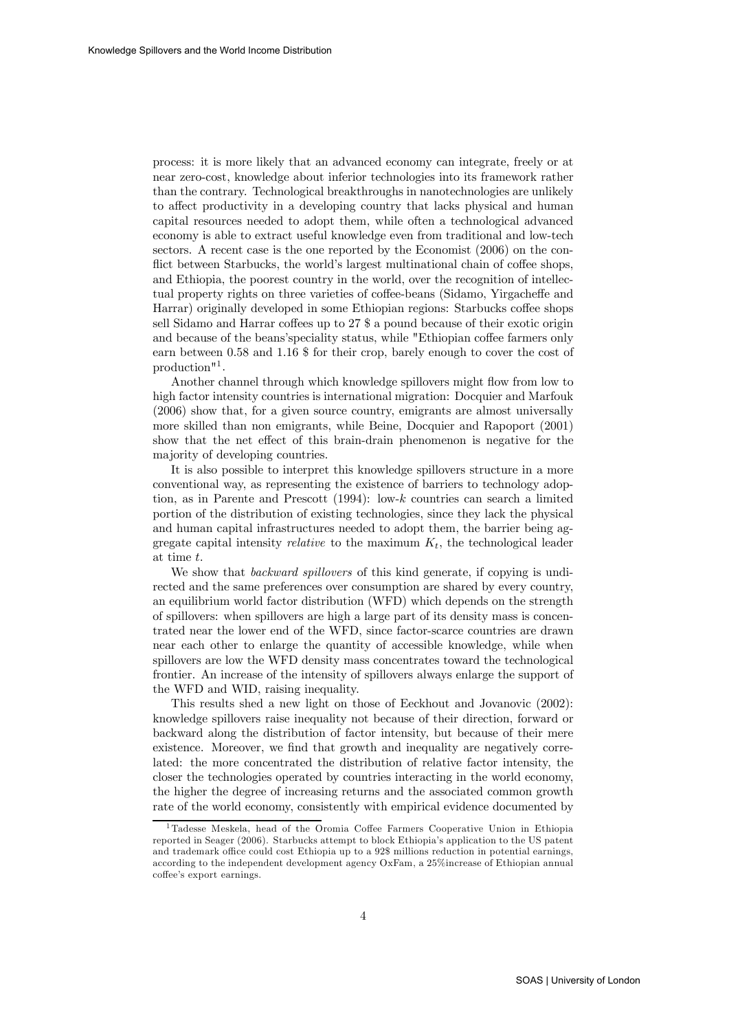process: it is more likely that an advanced economy can integrate, freely or at near zero-cost, knowledge about inferior technologies into its framework rather than the contrary. Technological breakthroughs in nanotechnologies are unlikely to affect productivity in a developing country that lacks physical and human capital resources needed to adopt them, while often a technological advanced economy is able to extract useful knowledge even from traditional and low-tech sectors. A recent case is the one reported by the Economist (2006) on the conflict between Starbucks, the world's largest multinational chain of coffee shops, and Ethiopia, the poorest country in the world, over the recognition of intellectual property rights on three varieties of coffee-beans (Sidamo, Yirgacheffe and Harrar) originally developed in some Ethiopian regions: Starbucks coffee shops sell Sidamo and Harrar coffees up to 27 \$ a pound because of their exotic origin and because of the beans'speciality status, while "Ethiopian coffee farmers only earn between 0.58 and 1.16 \$ for their crop, barely enough to cover the cost of production"1 .

Another channel through which knowledge spillovers might flow from low to high factor intensity countries is international migration: Docquier and Marfouk (2006) show that, for a given source country, emigrants are almost universally more skilled than non emigrants, while Beine, Docquier and Rapoport (2001) show that the net effect of this brain-drain phenomenon is negative for the majority of developing countries.

It is also possible to interpret this knowledge spillovers structure in a more conventional way, as representing the existence of barriers to technology adoption, as in Parente and Prescott (1994): low-k countries can search a limited portion of the distribution of existing technologies, since they lack the physical and human capital infrastructures needed to adopt them, the barrier being aggregate capital intensity *relative* to the maximum  $K_t$ , the technological leader at time t.

We show that *backward spillovers* of this kind generate, if copying is undirected and the same preferences over consumption are shared by every country, an equilibrium world factor distribution (WFD) which depends on the strength of spillovers: when spillovers are high a large part of its density mass is concentrated near the lower end of the WFD, since factor-scarce countries are drawn near each other to enlarge the quantity of accessible knowledge, while when spillovers are low the WFD density mass concentrates toward the technological frontier. An increase of the intensity of spillovers always enlarge the support of the WFD and WID, raising inequality.

This results shed a new light on those of Eeckhout and Jovanovic (2002): knowledge spillovers raise inequality not because of their direction, forward or backward along the distribution of factor intensity, but because of their mere existence. Moreover, we find that growth and inequality are negatively correlated: the more concentrated the distribution of relative factor intensity, the closer the technologies operated by countries interacting in the world economy, the higher the degree of increasing returns and the associated common growth rate of the world economy, consistently with empirical evidence documented by

<sup>1</sup>Tadesse Meskela, head of the Oromia Coffee Farmers Cooperative Union in Ethiopia reported in Seager (2006). Starbucks attempt to block Ethiopia's application to the US patent and trademark office could cost Ethiopia up to a 92\$ millions reduction in potential earnings, according to the independent development agency OxFam, a 25%increase of Ethiopian annual coffee's export earnings.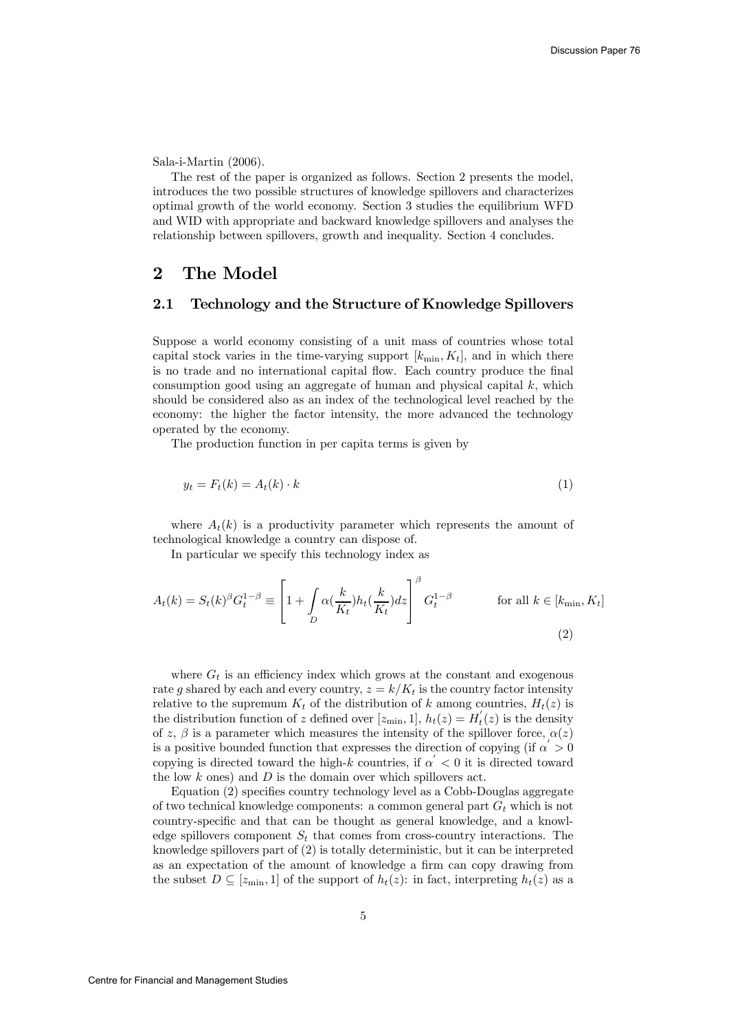Sala-i-Martin (2006).

The rest of the paper is organized as follows. Section 2 presents the model, introduces the two possible structures of knowledge spillovers and characterizes optimal growth of the world economy. Section 3 studies the equilibrium WFD and WID with appropriate and backward knowledge spillovers and analyses the relationship between spillovers, growth and inequality. Section 4 concludes.

# 2 The Model

### 2.1 Technology and the Structure of Knowledge Spillovers

Suppose a world economy consisting of a unit mass of countries whose total capital stock varies in the time-varying support  $[k_{\min}, K_t]$ , and in which there is no trade and no international capital flow. Each country produce the final consumption good using an aggregate of human and physical capital  $k$ , which should be considered also as an index of the technological level reached by the economy: the higher the factor intensity, the more advanced the technology operated by the economy.

The production function in per capita terms is given by

$$
y_t = F_t(k) = A_t(k) \cdot k \tag{1}
$$

where  $A_t(k)$  is a productivity parameter which represents the amount of technological knowledge a country can dispose of.

In particular we specify this technology index as

$$
A_t(k) = S_t(k)^{\beta} G_t^{1-\beta} \equiv \left[ 1 + \int_D \alpha(\frac{k}{K_t}) h_t(\frac{k}{K_t}) dz \right]^{\beta} G_t^{1-\beta} \qquad \text{for all } k \in [k_{\min}, K_t]
$$
\n(2)

where  $G_t$  is an efficiency index which grows at the constant and exogenous rate g shared by each and every country,  $z = k/K_t$  is the country factor intensity relative to the supremum  $K_t$  of the distribution of k among countries,  $H_t(z)$  is the distribution function of z defined over  $[z_{\text{min}}, 1], h_t(z) = H'_t(z)$  is the density of z,  $\beta$  is a parameter which measures the intensity of the spillover force,  $\alpha(z)$ is a positive bounded function that expresses the direction of copying (if  $\alpha > 0$ copying is directed toward the high-k countries, if  $\alpha' < 0$  it is directed toward the low  $k$  ones) and  $D$  is the domain over which spillovers act.

Equation (2) specifies country technology level as a Cobb-Douglas aggregate of two technical knowledge components: a common general part  $G_t$  which is not country-specific and that can be thought as general knowledge, and a knowledge spillovers component  $S_t$  that comes from cross-country interactions. The knowledge spillovers part of (2) is totally deterministic, but it can be interpreted as an expectation of the amount of knowledge a firm can copy drawing from the subset  $D \subseteq [z_{\min}, 1]$  of the support of  $h_t(z)$ : in fact, interpreting  $h_t(z)$  as a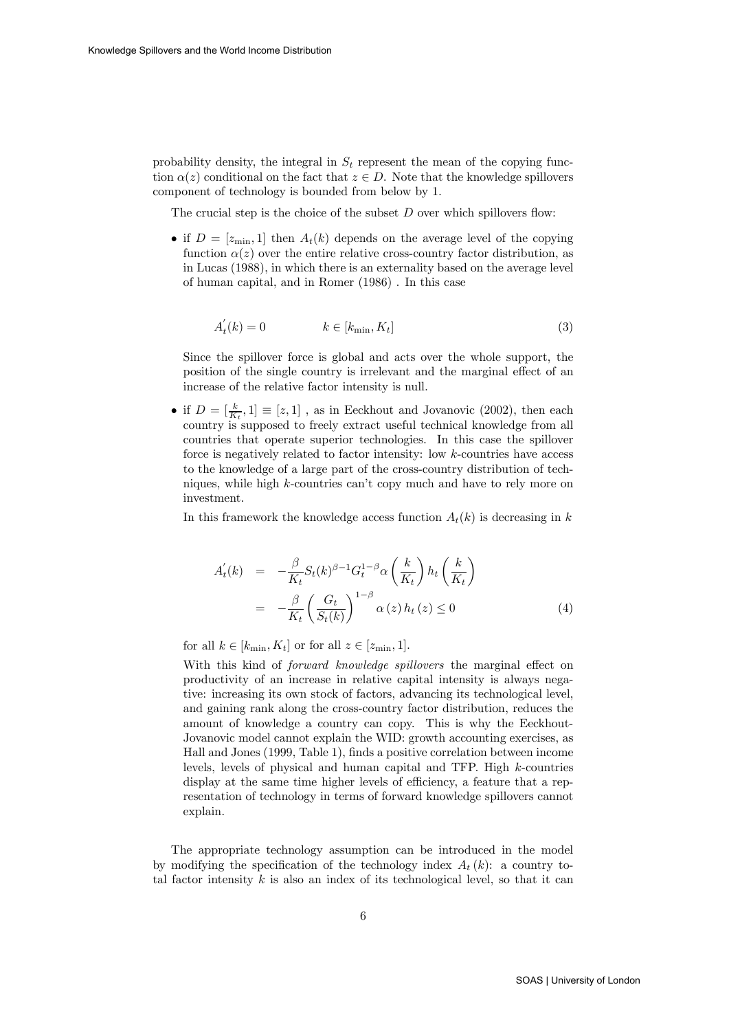probability density, the integral in  $S_t$  represent the mean of the copying function  $\alpha(z)$  conditional on the fact that  $z \in D$ . Note that the knowledge spillovers component of technology is bounded from below by 1.

The crucial step is the choice of the subset  $D$  over which spillovers flow:

• if  $D = [z_{\text{min}}, 1]$  then  $A_t(k)$  depends on the average level of the copying function  $\alpha(z)$  over the entire relative cross-country factor distribution, as in Lucas (1988), in which there is an externality based on the average level of human capital, and in Romer (1986) . In this case

$$
A_t^{'}(k) = 0 \qquad k \in [k_{\min}, K_t]
$$
\n(3)

Since the spillover force is global and acts over the whole support, the position of the single country is irrelevant and the marginal effect of an increase of the relative factor intensity is null.

• if  $D = \left[\frac{k}{K_t}, 1\right] \equiv [z, 1]$ , as in Eeckhout and Jovanovic (2002), then each country is supposed to freely extract useful technical knowledge from all countries that operate superior technologies. In this case the spillover force is negatively related to factor intensity: low k-countries have access to the knowledge of a large part of the cross-country distribution of techniques, while high k-countries can't copy much and have to rely more on investment.

In this framework the knowledge access function  $A_t(k)$  is decreasing in k

$$
A'_t(k) = -\frac{\beta}{K_t} S_t(k)^{\beta - 1} G_t^{1 - \beta} \alpha\left(\frac{k}{K_t}\right) h_t\left(\frac{k}{K_t}\right)
$$
  

$$
= -\frac{\beta}{K_t} \left(\frac{G_t}{S_t(k)}\right)^{1 - \beta} \alpha(z) h_t(z) \le 0
$$
 (4)

for all  $k \in [k_{\text{min}}, K_t]$  or for all  $z \in [z_{\text{min}}, 1]$ .

With this kind of *forward knowledge spillovers* the marginal effect on productivity of an increase in relative capital intensity is always negative: increasing its own stock of factors, advancing its technological level, and gaining rank along the cross-country factor distribution, reduces the amount of knowledge a country can copy. This is why the Eeckhout-Jovanovic model cannot explain the WID: growth accounting exercises, as Hall and Jones (1999, Table 1), finds a positive correlation between income levels, levels of physical and human capital and TFP. High k-countries display at the same time higher levels of efficiency, a feature that a representation of technology in terms of forward knowledge spillovers cannot explain.

The appropriate technology assumption can be introduced in the model by modifying the specification of the technology index  $A_t(k)$ : a country total factor intensity  $k$  is also an index of its technological level, so that it can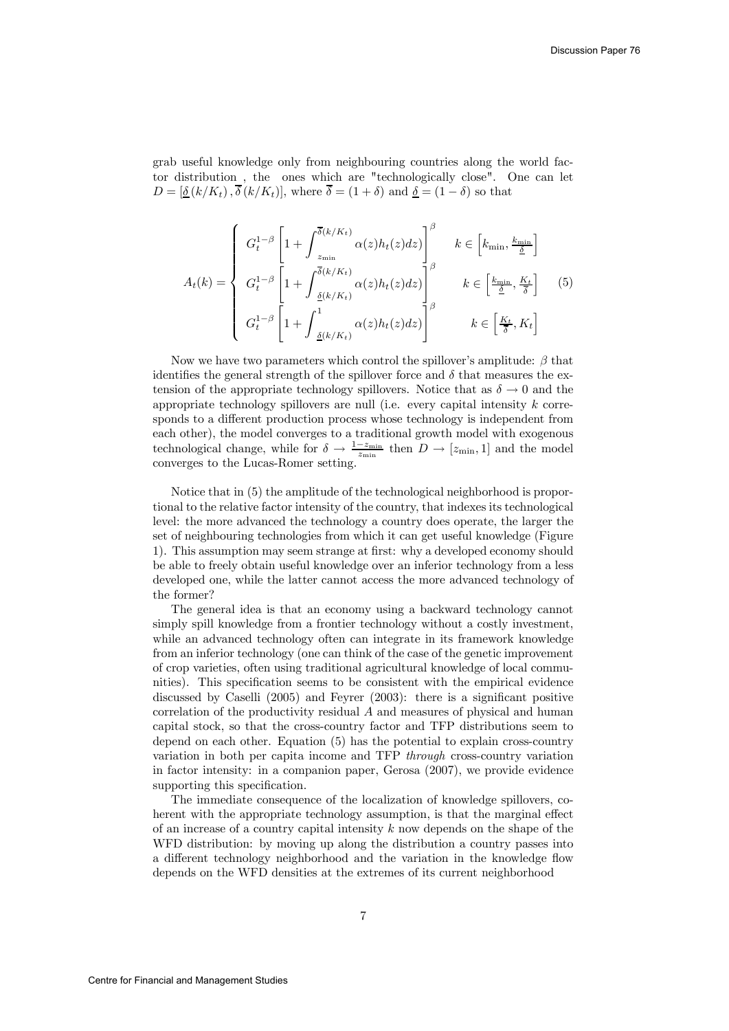grab useful knowledge only from neighbouring countries along the world factor distribution , the ones which are "technologically close". One can let  $D = [\underline{\delta}(k/K_t), \overline{\delta}(k/K_t)],$  where  $\overline{\delta} = (1 + \delta)$  and  $\underline{\delta} = (1 - \delta)$  so that

$$
A_t(k) = \begin{cases} G_t^{1-\beta} \left[ 1 + \int_{z_{\min}}^{\overline{\delta}(k/K_t)} \alpha(z) h_t(z) dz \right]_{\beta}^{\beta} & k \in \left[ k_{\min}, \frac{k_{\min}}{\underline{\delta}} \right] \\ G_t^{1-\beta} \left[ 1 + \int_{\frac{\underline{\delta}(k/K_t)}{\underline{\delta}(k/K_t)}}^{\overline{\delta}(k/K_t)} \alpha(z) h_t(z) dz \right]_{\beta}^{\beta} & k \in \left[ \frac{k_{\min}}{\underline{\delta}}, \frac{K_t}{\overline{\delta}} \right] \end{cases}
$$
(5)  

$$
G_t^{1-\beta} \left[ 1 + \int_{\frac{\underline{\delta}(k/K_t)}{\underline{\delta}(k/K_t)}}^1 \alpha(z) h_t(z) dz \right]_{\beta}^{\beta}
$$

Now we have two parameters which control the spillover's amplitude:  $\beta$  that identifies the general strength of the spillover force and  $\delta$  that measures the extension of the appropriate technology spillovers. Notice that as  $\delta \to 0$  and the appropriate technology spillovers are null (i.e. every capital intensity  $k$  corresponds to a different production process whose technology is independent from each other), the model converges to a traditional growth model with exogenous technological change, while for  $\delta \to \frac{1-z_{\min}}{z_{\min}}$  then  $D \to [z_{\min}, 1]$  and the model converges to the Lucas-Romer setting.

Notice that in (5) the amplitude of the technological neighborhood is proportional to the relative factor intensity of the country, that indexes its technological level: the more advanced the technology a country does operate, the larger the set of neighbouring technologies from which it can get useful knowledge (Figure 1). This assumption may seem strange at first: why a developed economy should be able to freely obtain useful knowledge over an inferior technology from a less developed one, while the latter cannot access the more advanced technology of the former?

The general idea is that an economy using a backward technology cannot simply spill knowledge from a frontier technology without a costly investment, while an advanced technology often can integrate in its framework knowledge from an inferior technology (one can think of the case of the genetic improvement of crop varieties, often using traditional agricultural knowledge of local communities). This specification seems to be consistent with the empirical evidence discussed by Caselli (2005) and Feyrer (2003): there is a significant positive correlation of the productivity residual A and measures of physical and human capital stock, so that the cross-country factor and TFP distributions seem to depend on each other. Equation (5) has the potential to explain cross-country variation in both per capita income and TFP through cross-country variation in factor intensity: in a companion paper, Gerosa (2007), we provide evidence supporting this specification.

The immediate consequence of the localization of knowledge spillovers, coherent with the appropriate technology assumption, is that the marginal effect of an increase of a country capital intensity  $k$  now depends on the shape of the WFD distribution: by moving up along the distribution a country passes into a different technology neighborhood and the variation in the knowledge flow depends on the WFD densities at the extremes of its current neighborhood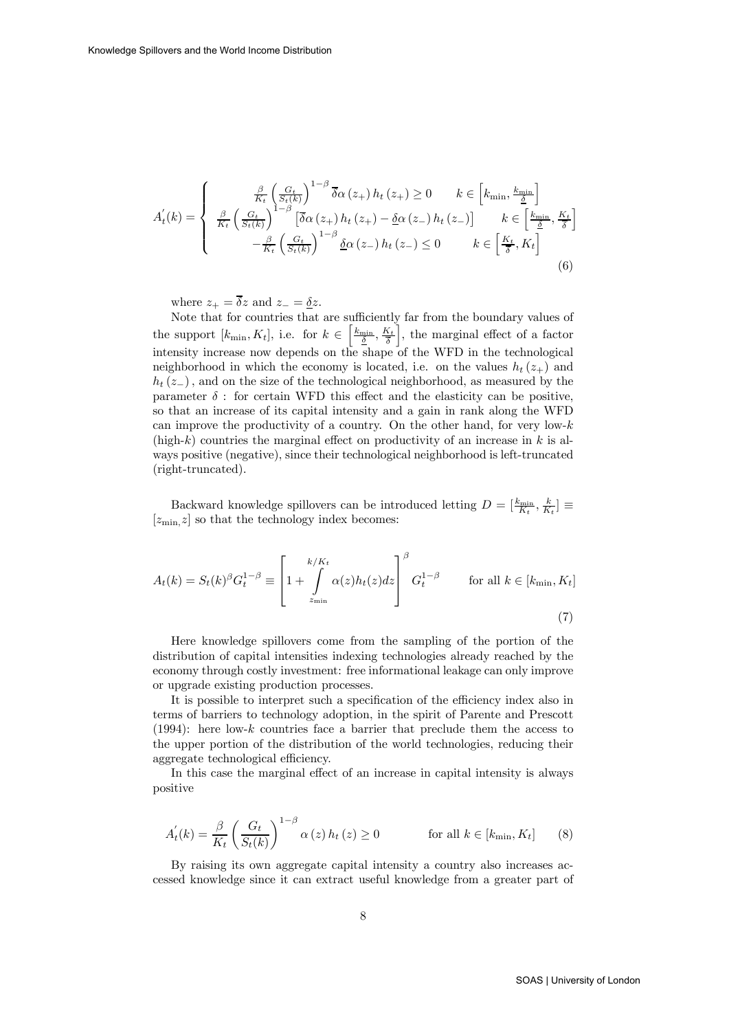$$
A'_{t}(k) = \begin{cases} \frac{\beta}{K_{t}} \left(\frac{G_{t}}{S_{t}(k)}\right)^{1-\beta} \overline{\delta} \alpha\left(z_{+}\right) h_{t}\left(z_{+}\right) \geq 0 & k \in \left[k_{\min}, \frac{k_{\min}}{\underline{\delta}}\right] \\ \frac{\beta}{K_{t}} \left(\frac{G_{t}}{S_{t}(k)}\right)^{1-\beta} \left[\overline{\delta} \alpha\left(z_{+}\right) h_{t}\left(z_{+}\right) - \underline{\delta} \alpha\left(z_{-}\right) h_{t}\left(z_{-}\right)\right] & k \in \left[\frac{k_{\min}}{\underline{\delta}}, \frac{K_{t}}{\overline{\delta}}\right] \\ -\frac{\beta}{K_{t}} \left(\frac{G_{t}}{S_{t}(k)}\right)^{1-\beta} \underline{\delta} \alpha\left(z_{-}\right) h_{t}\left(z_{-}\right) \leq 0 & k \in \left[\frac{K_{t}}{\overline{\delta}}, K_{t}\right] \end{cases}
$$
\n(6)

where  $z_+ = \overline{\delta}z$  and  $z_- = \underline{\delta}z$ .

Note that for countries that are sufficiently far from the boundary values of the support  $[k_{\min}, K_t]$ , i.e. for  $k \in \left[\frac{k_{\min}}{\frac{\delta}{\delta}}, \frac{K_t}{\overline{\delta}}\right]$ i , the marginal effect of a factor intensity increase now depends on the shape of the WFD in the technological neighborhood in which the economy is located, i.e. on the values  $h_t(z_+)$  and  $h_t(z_+)$ , and on the size of the technological neighborhood, as measured by the parameter  $\delta$ : for certain WFD this effect and the elasticity can be positive, so that an increase of its capital intensity and a gain in rank along the WFD can improve the productivity of a country. On the other hand, for very low- $k$ (high-k) countries the marginal effect on productivity of an increase in  $k$  is always positive (negative), since their technological neighborhood is left-truncated (right-truncated).

Backward knowledge spillovers can be introduced letting  $D = \left[\frac{k_{\min}}{K_t}, \frac{k}{K_t}\right] \equiv$  $[z_{\text{min}}]$  so that the technology index becomes:

$$
A_t(k) = S_t(k)^{\beta} G_t^{1-\beta} \equiv \left[ 1 + \int_{z_{\min}}^{k/K_t} \alpha(z) h_t(z) dz \right]^{\beta} G_t^{1-\beta} \quad \text{for all } k \in [k_{\min}, K_t]
$$
\n(7)

Here knowledge spillovers come from the sampling of the portion of the distribution of capital intensities indexing technologies already reached by the economy through costly investment: free informational leakage can only improve or upgrade existing production processes.

It is possible to interpret such a specification of the efficiency index also in terms of barriers to technology adoption, in the spirit of Parente and Prescott (1994): here low- $k$  countries face a barrier that preclude them the access to the upper portion of the distribution of the world technologies, reducing their aggregate technological efficiency.

In this case the marginal effect of an increase in capital intensity is always positive

$$
A_t^{'}(k) = \frac{\beta}{K_t} \left( \frac{G_t}{S_t(k)} \right)^{1-\beta} \alpha(z) h_t(z) \ge 0 \qquad \text{for all } k \in [k_{\min}, K_t]
$$
 (8)

By raising its own aggregate capital intensity a country also increases accessed knowledge since it can extract useful knowledge from a greater part of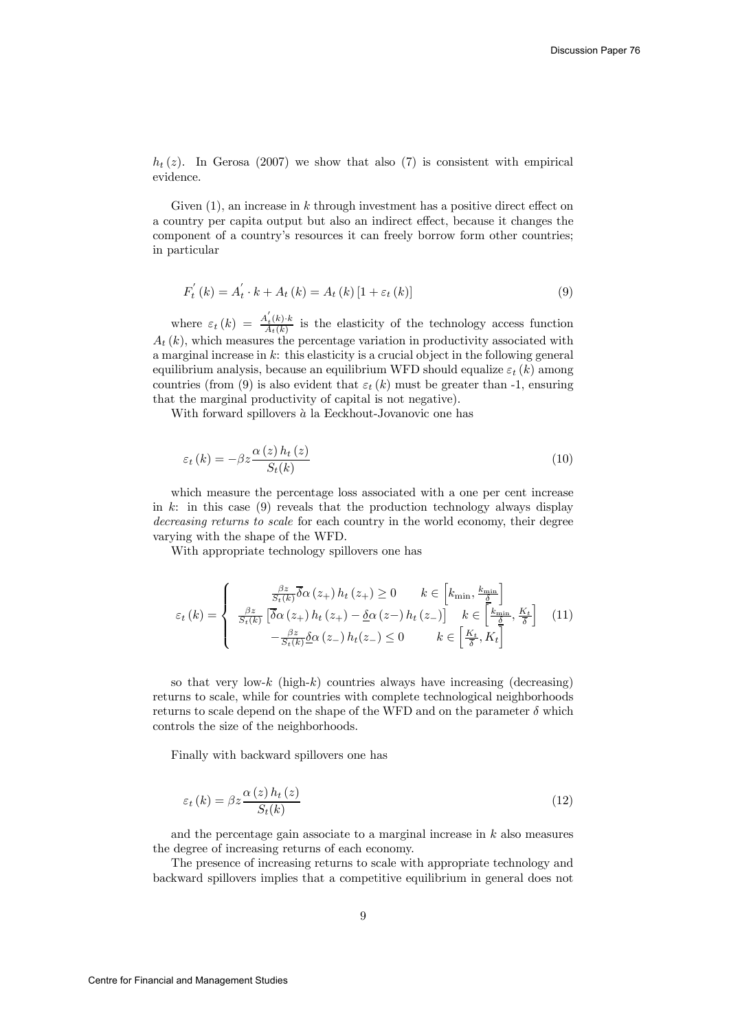$h_t(z)$ . In Gerosa (2007) we show that also (7) is consistent with empirical evidence.

Given  $(1)$ , an increase in k through investment has a positive direct effect on a country per capita output but also an indirect effect, because it changes the component of a country's resources it can freely borrow form other countries; in particular

$$
F'_{t}(k) = A'_{t} \cdot k + A_{t}(k) = A_{t}(k)[1 + \varepsilon_{t}(k)]
$$
\n(9)

where  $\varepsilon_t(k) = \frac{A'_t(k) \cdot k}{A_t(k)}$  is the elasticity of the technology access function  $A_t(k)$ , which measures the percentage variation in productivity associated with a marginal increase in  $k$ : this elasticity is a crucial object in the following general equilibrium analysis, because an equilibrium WFD should equalize  $\varepsilon_t(k)$  among countries (from (9) is also evident that  $\varepsilon_t(k)$  must be greater than -1, ensuring that the marginal productivity of capital is not negative).

With forward spillovers  $\dot{a}$  la Eeckhout-Jovanovic one has

$$
\varepsilon_{t}(k) = -\beta z \frac{\alpha(z) h_{t}(z)}{S_{t}(k)}
$$
\n(10)

which measure the percentage loss associated with a one per cent increase in k: in this case  $(9)$  reveals that the production technology always display decreasing returns to scale for each country in the world economy, their degree varying with the shape of the WFD.

With appropriate technology spillovers one has

$$
\varepsilon_{t}(k) = \begin{cases}\n\frac{\beta z}{S_{t}(k)} \overline{\delta \alpha}(z_{+}) h_{t}(z_{+}) \ge 0 & k \in \left[k_{\min}, \frac{k_{\min}}{\underline{\delta}}\right] \\
\frac{\beta z}{S_{t}(k)} \left[\overline{\delta \alpha}(z_{+}) h_{t}(z_{+}) - \underline{\delta \alpha}(z_{-}) h_{t}(z_{-})\right] & k \in \left[\frac{k_{\min}}{\underline{\delta}}, \frac{K_{t}}{\overline{\delta}}\right] \\
-\frac{\beta z}{S_{t}(k)} \underline{\delta \alpha}(z_{-}) h_{t}(z_{-}) \le 0 & k \in \left[\frac{K_{t}}{\overline{\delta}}, K_{t}\right]\n\end{cases}
$$
\n(11)

so that very low-k (high-k) countries always have increasing (decreasing) returns to scale, while for countries with complete technological neighborhoods returns to scale depend on the shape of the WFD and on the parameter  $\delta$  which controls the size of the neighborhoods.

Finally with backward spillovers one has

$$
\varepsilon_{t}\left(k\right) = \beta z \frac{\alpha\left(z\right)h_{t}\left(z\right)}{S_{t}(k)}\tag{12}
$$

and the percentage gain associate to a marginal increase in  $k$  also measures the degree of increasing returns of each economy.

The presence of increasing returns to scale with appropriate technology and backward spillovers implies that a competitive equilibrium in general does not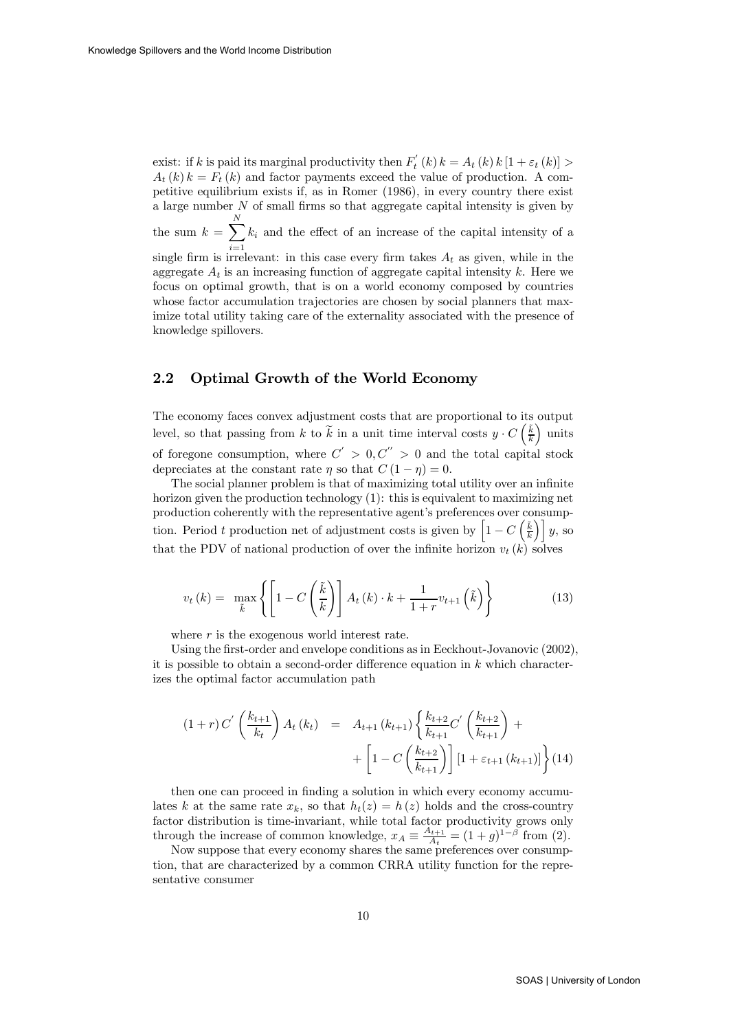exist: if k is paid its marginal productivity then  $F_t'(k) k = A_t(k) k [1 + \varepsilon_t(k)] >$  $A_t(k) k = F_t(k)$  and factor payments exceed the value of production. A competitive equilibrium exists if, as in Romer (1986), in every country there exist a large number  $N$  of small firms so that aggregate capital intensity is given by the sum  $k = \sum_{n=1}^{N}$  $i=1$  $k_i$  and the effect of an increase of the capital intensity of a single firm is irrelevant: in this case every firm takes  $A_t$  as given, while in the aggregate  $A_t$  is an increasing function of aggregate capital intensity k. Here we focus on optimal growth, that is on a world economy composed by countries whose factor accumulation trajectories are chosen by social planners that maximize total utility taking care of the externality associated with the presence of knowledge spillovers.

#### 2.2 Optimal Growth of the World Economy

The economy faces convex adjustment costs that are proportional to its output level, so that passing from k to  $\tilde{k}$  in a unit time interval costs  $y \cdot C\left(\frac{\tilde{k}}{k}\right)$ ´ units of foregone consumption, where  $C' > 0, C'' > 0$  and the total capital stock depreciates at the constant rate  $\eta$  so that  $C(1 - \eta) = 0$ .

The social planner problem is that of maximizing total utility over an infinite horizon given the production technology (1): this is equivalent to maximizing net production coherently with the representative agent's preferences over consumption. Period t production net of adjustment costs is given by  $\left[1 - C\left(\frac{\tilde{k}}{k}\right)\right]y$ , so that the PDV of national production of over the infinite horizon  $v_t(k)$  solves

$$
v_t(k) = \max_{\tilde{k}} \left\{ \left[ 1 - C\left(\frac{\tilde{k}}{k}\right) \right] A_t(k) \cdot k + \frac{1}{1+r} v_{t+1} \left(\tilde{k}\right) \right\} \tag{13}
$$

where  $r$  is the exogenous world interest rate.

Using the first-order and envelope conditions as in Eeckhout-Jovanovic (2002), it is possible to obtain a second-order difference equation in  $k$  which characterizes the optimal factor accumulation path

$$
(1+r) C' \left(\frac{k_{t+1}}{k_t}\right) A_t (k_t) = A_{t+1} (k_{t+1}) \left\{ \frac{k_{t+2}}{k_{t+1}} C' \left(\frac{k_{t+2}}{k_{t+1}}\right) + \left[1 - C \left(\frac{k_{t+2}}{k_{t+1}}\right) \right] [1 + \varepsilon_{t+1} (k_{t+1})] \right\} (14)
$$

then one can proceed in finding a solution in which every economy accumulates k at the same rate  $x_k$ , so that  $h_t(z) = h(z)$  holds and the cross-country factor distribution is time-invariant, while total factor productivity grows only through the increase of common knowledge,  $x_A \equiv \frac{A_{t+1}}{A_t} = (1+g)^{1-\beta}$  from (2).

Now suppose that every economy shares the same preferences over consumption, that are characterized by a common CRRA utility function for the representative consumer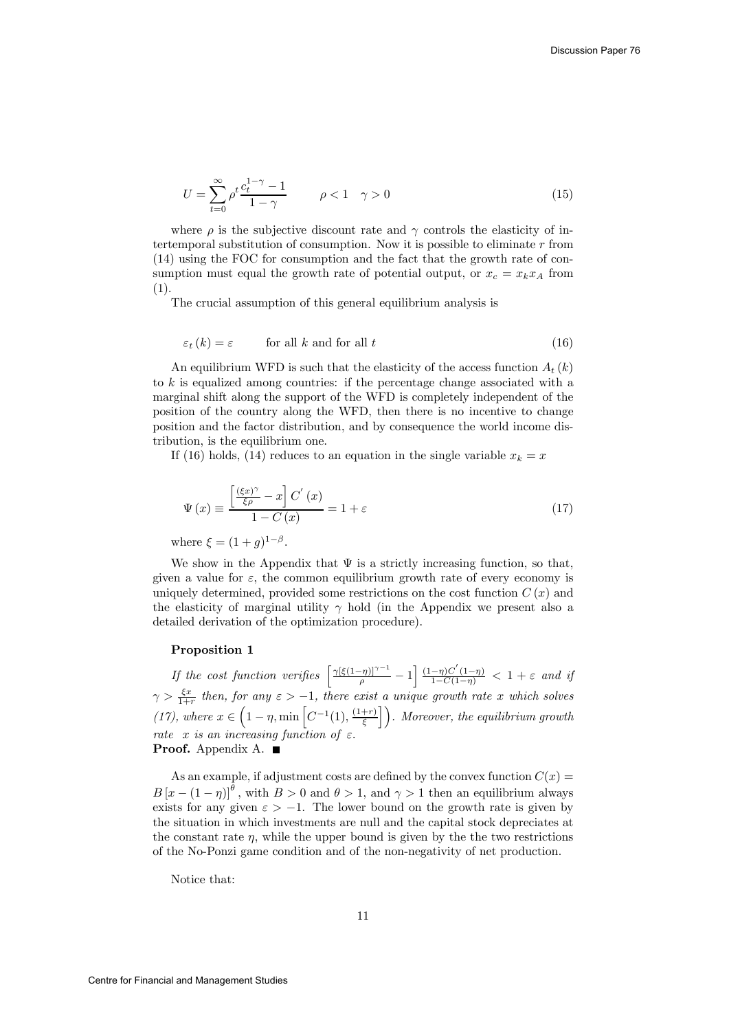$$
U = \sum_{t=0}^{\infty} \rho^t \frac{c_t^{1-\gamma} - 1}{1 - \gamma} \qquad \rho < 1 \quad \gamma > 0
$$
 (15)

where  $\rho$  is the subjective discount rate and  $\gamma$  controls the elasticity of intertemporal substitution of consumption. Now it is possible to eliminate  $r$  from (14) using the FOC for consumption and the fact that the growth rate of consumption must equal the growth rate of potential output, or  $x_c = x_k x_A$  from (1).

The crucial assumption of this general equilibrium analysis is

$$
\varepsilon_{t}(k) = \varepsilon \qquad \text{for all } k \text{ and for all } t \tag{16}
$$

An equilibrium WFD is such that the elasticity of the access function  $A_t(k)$ to  $k$  is equalized among countries: if the percentage change associated with a marginal shift along the support of the WFD is completely independent of the position of the country along the WFD, then there is no incentive to change position and the factor distribution, and by consequence the world income distribution, is the equilibrium one.

If (16) holds, (14) reduces to an equation in the single variable  $x_k = x$ 

$$
\Psi(x) \equiv \frac{\left[\frac{(\xi x)^{\gamma}}{\xi \rho} - x\right] C'(x)}{1 - C(x)} = 1 + \varepsilon \tag{17}
$$

where  $\xi = (1+q)^{1-\beta}$ .

We show in the Appendix that  $\Psi$  is a strictly increasing function, so that, given a value for  $\varepsilon$ , the common equilibrium growth rate of every economy is uniquely determined, provided some restrictions on the cost function  $C(x)$  and the elasticity of marginal utility  $\gamma$  hold (in the Appendix we present also a detailed derivation of the optimization procedure).

#### Proposition 1

If the cost function verifies  $\left[\frac{\gamma[\xi(1-\eta)]^{\gamma-1}}{\rho}-1\right] \frac{(1-\eta)C'(1-\eta)}{1-C(1-\eta)} < 1+\varepsilon$  and if  $\gamma > \frac{\xi x}{1+r}$  then, for any  $\varepsilon > -1$ , there exist a unique growth rate x which solves (17), where  $x \in (1 - \eta, \min\left[C^{-1}(1), \frac{(1+r)}{\xi}\right])$ . Moreover, the equilibrium growth rate x is an increasing function of  $\varepsilon$ . **Proof.** Appendix A.  $\blacksquare$ 

As an example, if adjustment costs are defined by the convex function  $C(x)$  =  $B[x-(1-\eta)]^{\theta}$ , with  $B>0$  and  $\theta>1$ , and  $\gamma>1$  then an equilibrium always exists for any given  $\varepsilon > -1$ . The lower bound on the growth rate is given by the situation in which investments are null and the capital stock depreciates at the constant rate  $\eta$ , while the upper bound is given by the the two restrictions of the No-Ponzi game condition and of the non-negativity of net production.

Notice that: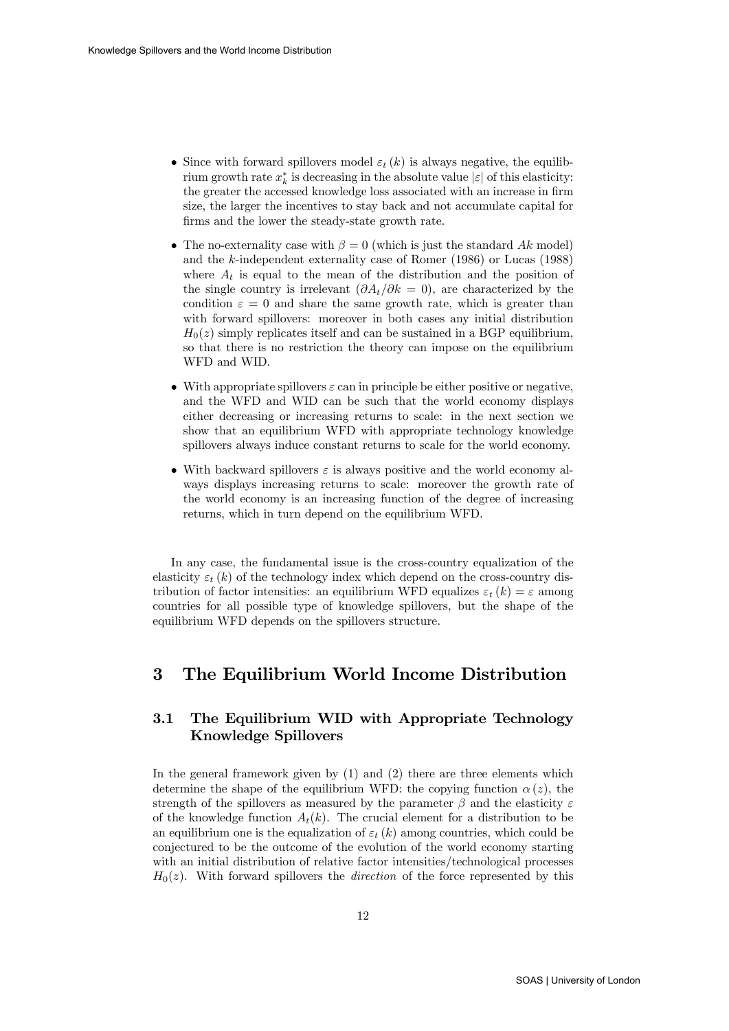- Since with forward spillovers model  $\varepsilon_t(k)$  is always negative, the equilibrium growth rate  $x_k^*$  is decreasing in the absolute value  $|\varepsilon|$  of this elasticity: the greater the accessed knowledge loss associated with an increase in firm size, the larger the incentives to stay back and not accumulate capital for firms and the lower the steady-state growth rate.
- The no-externality case with  $\beta = 0$  (which is just the standard Ak model) and the k-independent externality case of Romer (1986) or Lucas (1988) where  $A_t$  is equal to the mean of the distribution and the position of the single country is irrelevant  $(\partial A_t/\partial k = 0)$ , are characterized by the condition  $\varepsilon = 0$  and share the same growth rate, which is greater than with forward spillovers: moreover in both cases any initial distribution  $H<sub>0</sub>(z)$  simply replicates itself and can be sustained in a BGP equilibrium, so that there is no restriction the theory can impose on the equilibrium WFD and WID.
- With appropriate spillovers  $\varepsilon$  can in principle be either positive or negative, and the WFD and WID can be such that the world economy displays either decreasing or increasing returns to scale: in the next section we show that an equilibrium WFD with appropriate technology knowledge spillovers always induce constant returns to scale for the world economy.
- With backward spillovers  $\varepsilon$  is always positive and the world economy always displays increasing returns to scale: moreover the growth rate of the world economy is an increasing function of the degree of increasing returns, which in turn depend on the equilibrium WFD.

In any case, the fundamental issue is the cross-country equalization of the elasticity  $\varepsilon_t(k)$  of the technology index which depend on the cross-country distribution of factor intensities: an equilibrium WFD equalizes  $\varepsilon_t(k) = \varepsilon$  among countries for all possible type of knowledge spillovers, but the shape of the equilibrium WFD depends on the spillovers structure.

### 3 The Equilibrium World Income Distribution

### 3.1 The Equilibrium WID with Appropriate Technology Knowledge Spillovers

In the general framework given by (1) and (2) there are three elements which determine the shape of the equilibrium WFD: the copying function  $\alpha(z)$ , the strength of the spillovers as measured by the parameter  $\beta$  and the elasticity  $\varepsilon$ of the knowledge function  $A_t(k)$ . The crucial element for a distribution to be an equilibrium one is the equalization of  $\varepsilon_t(k)$  among countries, which could be conjectured to be the outcome of the evolution of the world economy starting with an initial distribution of relative factor intensities/technological processes  $H_0(z)$ . With forward spillovers the *direction* of the force represented by this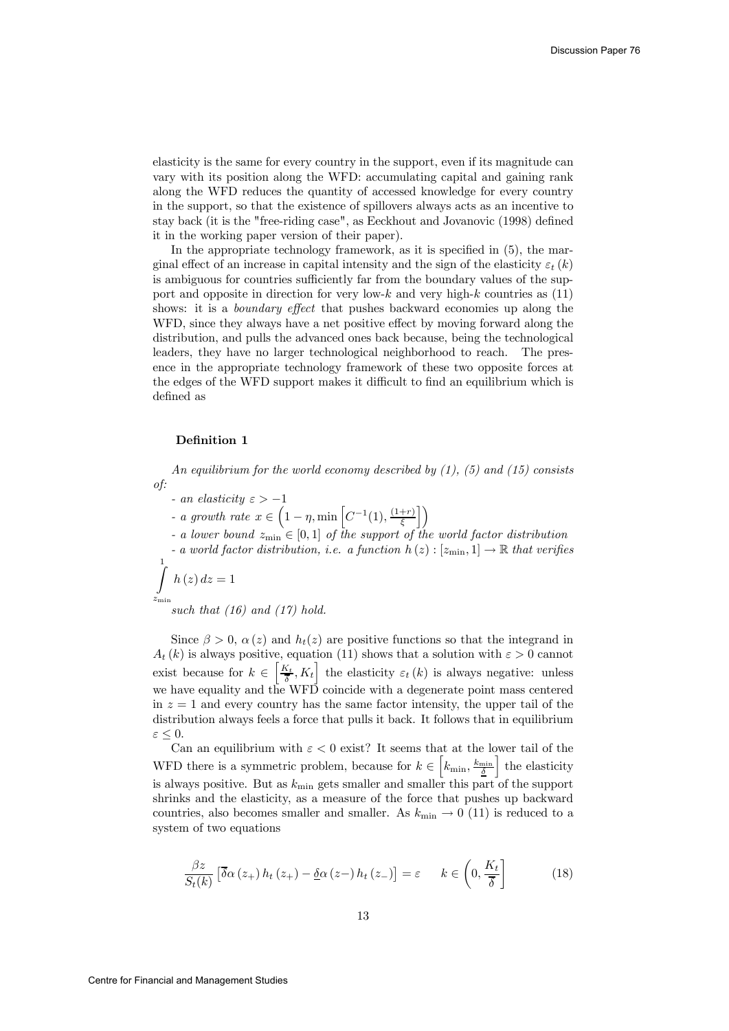elasticity is the same for every country in the support, even if its magnitude can vary with its position along the WFD: accumulating capital and gaining rank along the WFD reduces the quantity of accessed knowledge for every country in the support, so that the existence of spillovers always acts as an incentive to stay back (it is the "free-riding case", as Eeckhout and Jovanovic (1998) defined it in the working paper version of their paper).

In the appropriate technology framework, as it is specified in (5), the marginal effect of an increase in capital intensity and the sign of the elasticity  $\varepsilon_t(k)$ is ambiguous for countries sufficiently far from the boundary values of the support and opposite in direction for very low-k and very high-k countries as  $(11)$ shows: it is a boundary effect that pushes backward economies up along the WFD, since they always have a net positive effect by moving forward along the distribution, and pulls the advanced ones back because, being the technological leaders, they have no larger technological neighborhood to reach. The presence in the appropriate technology framework of these two opposite forces at the edges of the WFD support makes it difficult to find an equilibrium which is defined as

#### Definition 1

An equilibrium for the world economy described by  $(1)$ ,  $(5)$  and  $(15)$  consists of:

 $-$  an elasticity  $\varepsilon > -1$ 

- a growth rate  $x \in \left(1 - \eta, \min\left[C^{-1}(1), \frac{(1+r)}{\xi}\right]\right)$  $\mathcal{L}$ 

- a lower bound  $z_{\text{min}} \in [0,1]$  of the support of the world factor distribution - a world factor distribution, i.e. a function  $h(z):[z_{\min}, 1] \to \mathbb{R}$  that verifies  $\int h(z) dz = 1$ 1

$$
\int_{z_{\rm min}}^{z_{\rm min}} e^{(z/\omega z)}
$$

such that  $(16)$  and  $(17)$  hold.

Since  $\beta > 0$ ,  $\alpha(z)$  and  $h_t(z)$  are positive functions so that the integrand in  $A_t(k)$  is always positive, equation (11) shows that a solution with  $\varepsilon > 0$  cannot exist because for  $k \in \left[\frac{K_t}{\delta}, K_t\right]$  the elasticity  $\varepsilon_t(k)$  is always negative: unless we have equality and the WFD coincide with a degenerate point mass centered in  $z = 1$  and every country has the same factor intensity, the upper tail of the distribution always feels a force that pulls it back. It follows that in equilibrium  $\varepsilon \leq 0$ .

Can an equilibrium with  $\varepsilon < 0$  exist? It seems that at the lower tail of the WFD there is a symmetric problem, because for  $k \in \left[k_{\min}, \frac{k_{\min}}{\underline{\delta}}\right]$ | the elasticity is always positive. But as  $k_{\text{min}}$  gets smaller and smaller this part of the support shrinks and the elasticity, as a measure of the force that pushes up backward countries, also becomes smaller and smaller. As  $k_{\min} \to 0$  (11) is reduced to a system of two equations

$$
\frac{\beta z}{S_t(k)} \left[ \overline{\delta} \alpha \left( z_+ \right) h_t \left( z_+ \right) - \underline{\delta} \alpha \left( z_- \right) h_t \left( z_- \right) \right] = \varepsilon \qquad k \in \left( 0, \frac{K_t}{\overline{\delta}} \right] \tag{18}
$$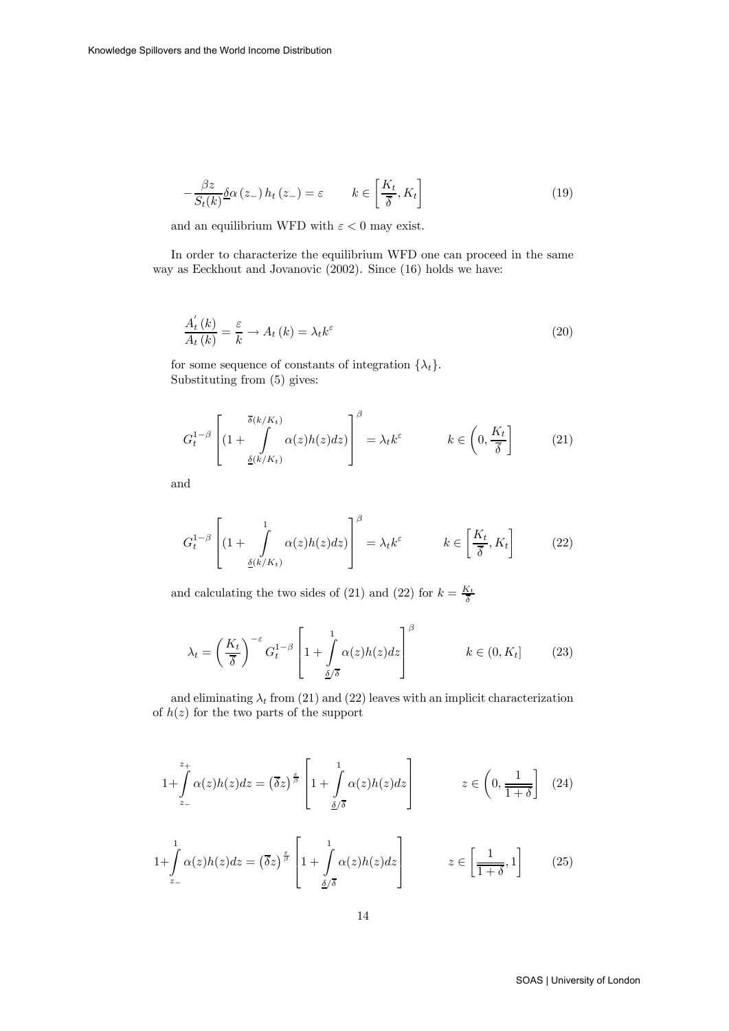$$
-\frac{\beta z}{S_t(k)}\delta\alpha\left(z_-\right)h_t\left(z_-\right)=\varepsilon \qquad k\in\left[\frac{K_t}{\overline{\delta}},K_t\right]
$$
\n
$$
(19)
$$

and an equilibrium WFD with  $\varepsilon < 0$  may exist.

In order to characterize the equilibrium WFD one can proceed in the same way as Eeckhout and Jovanovic (2002). Since (16) holds we have:

$$
\frac{A_t^{'}(k)}{A_t(k)} = \frac{\varepsilon}{k} \to A_t(k) = \lambda_t k^{\varepsilon}
$$
\n(20)

for some sequence of constants of integration  $\{\lambda_t\}.$ Substituting from (5) gives:

$$
G_t^{1-\beta} \left[ (1 + \int_{\underline{\delta}(k/K_t)}^{\overline{\delta}(k/K_t)} \alpha(z) h(z) dz \right]^\beta = \lambda_t k^\varepsilon \qquad k \in \left( 0, \frac{K_t}{\overline{\delta}} \right] \tag{21}
$$

and

$$
G_t^{1-\beta} \left[ (1 + \int_{\underline{\delta}(k/K_t)} \alpha(z) h(z) dz) \right]^\beta = \lambda_t k^\varepsilon \qquad k \in \left[ \frac{K_t}{\overline{\delta}}, K_t \right] \tag{22}
$$

and calculating the two sides of (21) and (22) for  $k = \frac{K_t}{\overline{\delta}}$ 

$$
\lambda_t = \left(\frac{K_t}{\overline{\delta}}\right)^{-\varepsilon} G_t^{1-\beta} \left[1 + \int\limits_{\underline{\delta/\delta}}^1 \alpha(z) h(z) dz\right]^\beta \qquad k \in (0, K_t]
$$
 (23)

and eliminating  $\lambda_t$  from (21) and (22) leaves with an implicit characterization of  $h(z)$  for the two parts of the support

$$
1 + \int_{z_{-}}^{z_{+}} \alpha(z)h(z)dz = (\overline{\delta}z)^{\frac{\varepsilon}{\beta}} \left[1 + \int_{\frac{\delta}{\sqrt{\delta}}}\alpha(z)h(z)dz\right] \qquad z \in \left(0, \frac{1}{1+\delta}\right] \quad (24)
$$

$$
1 + \int_{z_{-}}^{1} \alpha(z)h(z)dz = \left(\overline{\delta}z\right)^{\frac{\epsilon}{\beta}} \left[1 + \int_{\underline{\delta}/\overline{\delta}}^{1} \alpha(z)h(z)dz\right] \qquad z \in \left[\frac{1}{1+\delta}, 1\right] \qquad (25)
$$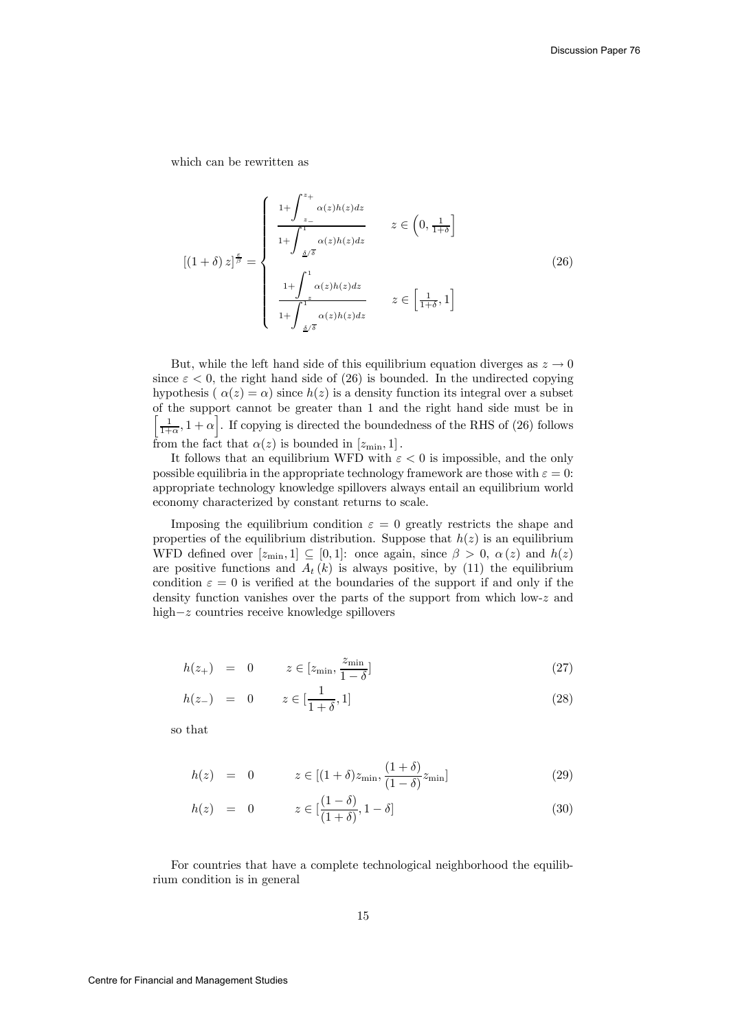which can be rewritten as

$$
[(1+\delta) z]^{\frac{\varepsilon}{\beta}} = \begin{cases} 1 + \int_{z_{-}}^{z_{+}} \alpha(z)h(z)dz \\ \frac{1 + \int_{z_{-}}^{1} \alpha(z)h(z)dz}{1 + \int_{z_{-}}^{1} \alpha(z)h(z)dz} \end{cases} z \in (0, \frac{1}{1+\delta}]
$$
  

$$
z \in \left[\frac{1}{1+\delta}, 1\right]
$$
  

$$
1 + \int_{z_{-}}^{1} \alpha(z)h(z)dz \end{cases}
$$
 (26)

But, while the left hand side of this equilibrium equation diverges as  $z \to 0$ since  $\varepsilon$  < 0, the right hand side of (26) is bounded. In the undirected copying hypothesis ( $\alpha(z) = \alpha$ ) since  $h(z)$  is a density function its integral over a subset of the support cannot be greater than 1 and the right hand side must be in  $\left[\frac{1}{1+\alpha}, 1+\alpha\right]$ . If copying is directed the boundedness of the RHS of (26) follows from the fact that  $\alpha(z)$  is bounded in  $[z_{\min}, 1]$ .

It follows that an equilibrium WFD with  $\varepsilon < 0$  is impossible, and the only possible equilibria in the appropriate technology framework are those with  $\varepsilon = 0$ : appropriate technology knowledge spillovers always entail an equilibrium world economy characterized by constant returns to scale.

Imposing the equilibrium condition  $\varepsilon = 0$  greatly restricts the shape and properties of the equilibrium distribution. Suppose that  $h(z)$  is an equilibrium WFD defined over  $[z_{\text{min}}, 1] \subseteq [0, 1]$ : once again, since  $\beta > 0$ ,  $\alpha(z)$  and  $h(z)$ are positive functions and  $A_t(k)$  is always positive, by (11) the equilibrium condition  $\varepsilon = 0$  is verified at the boundaries of the support if and only if the density function vanishes over the parts of the support from which low-z and high−z countries receive knowledge spillovers

$$
h(z_{+}) = 0 \qquad z \in [z_{\min}, \frac{z_{\min}}{1 - \delta}] \tag{27}
$$

$$
h(z_{-}) = 0 \t z \in [\frac{1}{1+\delta}, 1]
$$
\n(28)

so that

$$
h(z) = 0 \qquad z \in [(1+\delta)z_{\min}, \frac{(1+\delta)}{(1-\delta)}z_{\min}] \tag{29}
$$

$$
h(z) = 0 \qquad z \in [\frac{(1-\delta)}{(1+\delta)}, 1-\delta] \tag{30}
$$

For countries that have a complete technological neighborhood the equilibrium condition is in general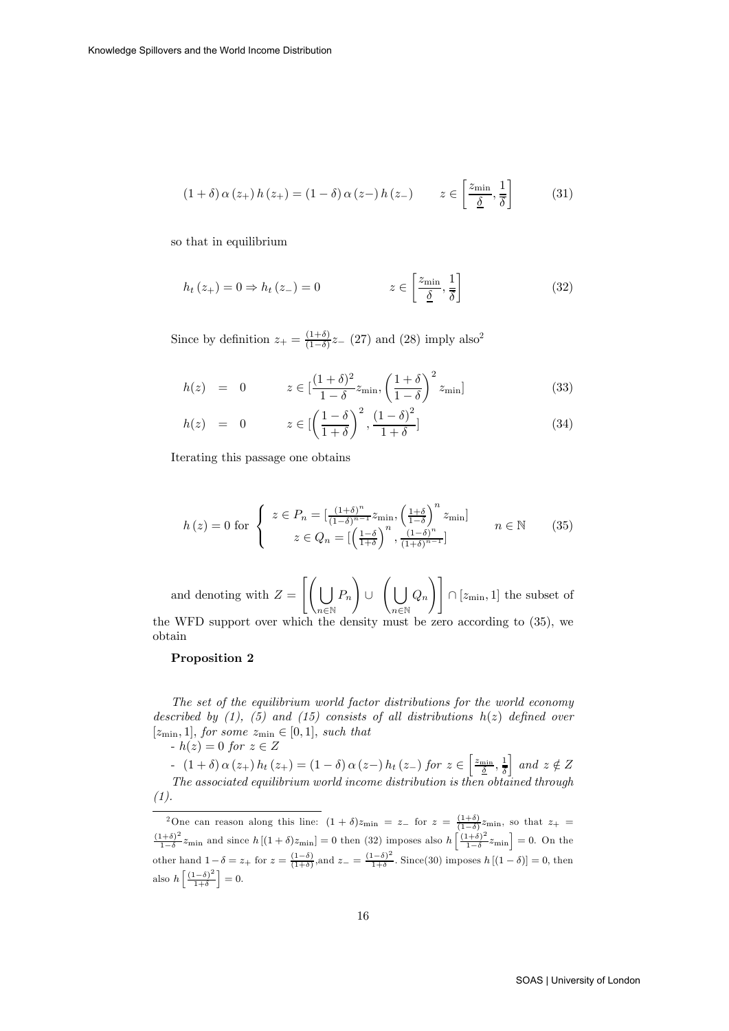$$
(1+\delta)\,\alpha\left(z_{+}\right)h\left(z_{+}\right) = (1-\delta)\,\alpha\left(z_{-}\right)h\left(z_{-}\right) \qquad z \in \left[\frac{z_{\min}}{\underline{\delta}}, \frac{1}{\overline{\delta}}\right] \tag{31}
$$

so that in equilibrium

$$
h_t(z_+) = 0 \Rightarrow h_t(z_-) = 0 \qquad z \in \left[\frac{z_{\min}}{\underline{\delta}}, \frac{1}{\overline{\delta}}\right] \tag{32}
$$

Since by definition  $z_+ = \frac{(1+\delta)}{(1-\delta)} z_-$  (27) and (28) imply also<sup>2</sup>

$$
h(z) = 0 \qquad z \in \left[\frac{(1+\delta)^2}{1-\delta} z_{\min}, \left(\frac{1+\delta}{1-\delta}\right)^2 z_{\min}\right] \tag{33}
$$

$$
h(z) = 0 \qquad z \in \left[ \left( \frac{1 - \delta}{1 + \delta} \right)^2, \frac{\left(1 - \delta\right)^2}{1 + \delta} \right] \tag{34}
$$

Iterating this passage one obtains

$$
h(z) = 0 \text{ for } \begin{cases} z \in P_n = \left[\frac{(1+\delta)^n}{(1-\delta)^{n-1}} z_{\min}, \left(\frac{1+\delta}{1-\delta}\right)^n z_{\min}\right] \\ z \in Q_n = \left[\left(\frac{1-\delta}{1+\delta}\right)^n, \frac{(1-\delta)^n}{(1+\delta)^{n-1}}\right] \end{cases} \qquad n \in \mathbb{N} \qquad (35)
$$

and denoting with  $Z = \left[ \begin{pmatrix} 1 \\ 1 \end{pmatrix} \right]$  $n\in\mathbb{N}$  $P_n$  $\setminus$ ∪ $\Big(\bigcup$  $n \in \mathbb{N}$  $Q_n$  $\setminus$  ]  $\cap$  [ $z_{\text{min}}$ , 1] the subset of

the WFD support over which the density must be zero according to (35), we obtain

#### Proposition 2

The set of the equilibrium world factor distributions for the world economy described by  $(1)$ ,  $(5)$  and  $(15)$  consists of all distributions  $h(z)$  defined over  $[z_{\min}, 1]$ , for some  $z_{\min} \in [0, 1]$ , such that  $-h(z)=0$  for  $z \in Z$ 

- (1 + δ)  $\alpha(z_+) h_t(z_+) = (1 - \delta) \alpha(z_-) h_t(z_-)$  for  $z \in \left[\frac{z_{\text{min}}}{\delta}, \frac{1}{\delta}\right]$  $\Big\}$  and  $z \notin Z$ The associated equilibrium world income distribution is then obtained through (1).

<sup>&</sup>lt;sup>2</sup>One can reason along this line:  $(1 + \delta)z_{\text{min}} = z_{-}$  for  $z = \frac{(1+\delta)}{(1-\delta)}z_{\text{min}}$ , so that  $z_{+} = \frac{(1+\delta)^2}{1-\delta}z_{\text{min}}$  and since  $h\left[(1+\delta)z_{\text{min}}\right]=0$  then (32) imposes also  $h\left[\frac{(1+\delta)^2}{1-\delta}z_{\text{min}}\right]=0$ . On the other hand  $1-\delta = z_+$  for  $z = \frac{(1-\delta)}{(1+\delta)}$ , and  $z_- = \frac{(1-\delta)^2}{1+\delta}$ . Since(30) imposes  $h[(1-\delta)] = 0$ , then also  $h\left[\frac{(1-\delta)^2}{1+\delta}\right]=0.$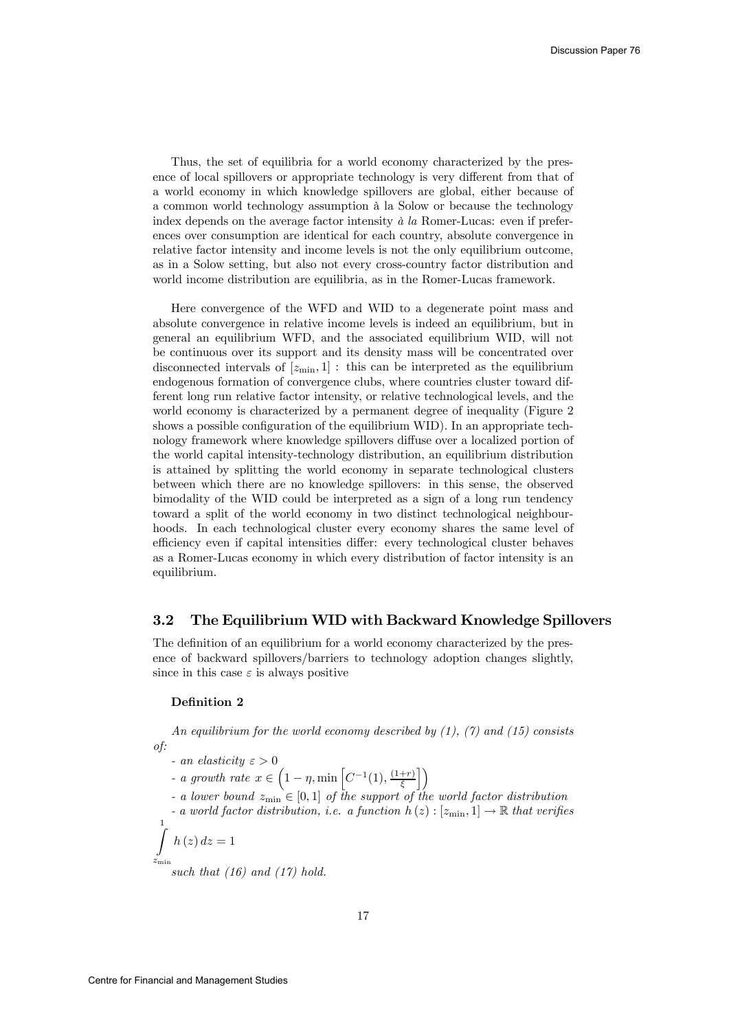Thus, the set of equilibria for a world economy characterized by the presence of local spillovers or appropriate technology is very different from that of a world economy in which knowledge spillovers are global, either because of a common world technology assumption à la Solow or because the technology index depends on the average factor intensity à la Romer-Lucas: even if preferences over consumption are identical for each country, absolute convergence in relative factor intensity and income levels is not the only equilibrium outcome, as in a Solow setting, but also not every cross-country factor distribution and world income distribution are equilibria, as in the Romer-Lucas framework.

Here convergence of the WFD and WID to a degenerate point mass and absolute convergence in relative income levels is indeed an equilibrium, but in general an equilibrium WFD, and the associated equilibrium WID, will not be continuous over its support and its density mass will be concentrated over disconnected intervals of  $[z_{\min}, 1]$ : this can be interpreted as the equilibrium endogenous formation of convergence clubs, where countries cluster toward different long run relative factor intensity, or relative technological levels, and the world economy is characterized by a permanent degree of inequality (Figure 2 shows a possible configuration of the equilibrium WID). In an appropriate technology framework where knowledge spillovers diffuse over a localized portion of the world capital intensity-technology distribution, an equilibrium distribution is attained by splitting the world economy in separate technological clusters between which there are no knowledge spillovers: in this sense, the observed bimodality of the WID could be interpreted as a sign of a long run tendency toward a split of the world economy in two distinct technological neighbourhoods. In each technological cluster every economy shares the same level of efficiency even if capital intensities differ: every technological cluster behaves as a Romer-Lucas economy in which every distribution of factor intensity is an equilibrium.

#### 3.2 The Equilibrium WID with Backward Knowledge Spillovers

The definition of an equilibrium for a world economy characterized by the presence of backward spillovers/barriers to technology adoption changes slightly, since in this case  $\varepsilon$  is always positive

#### Definition 2

An equilibrium for the world economy described by  $(1)$ ,  $(7)$  and  $(15)$  consists of:

- an elasticity  $\varepsilon > 0$
- a growth rate  $x \in \left(1 \eta, \min\left[C^{-1}(1), \frac{(1+r)}{\xi}\right]\right)$  $\mathcal{L}$
- a lower bound  $z_{\text{min}} \in [0,1]$  of the support of the world factor distribution
- a world factor distribution, i.e. a function  $h(z):[z_{\min},1] \to \mathbb{R}$  that verifies

$$
\int_{z_{\min}}^{1} h(z) dz = 1
$$

such that  $(16)$  and  $(17)$  hold.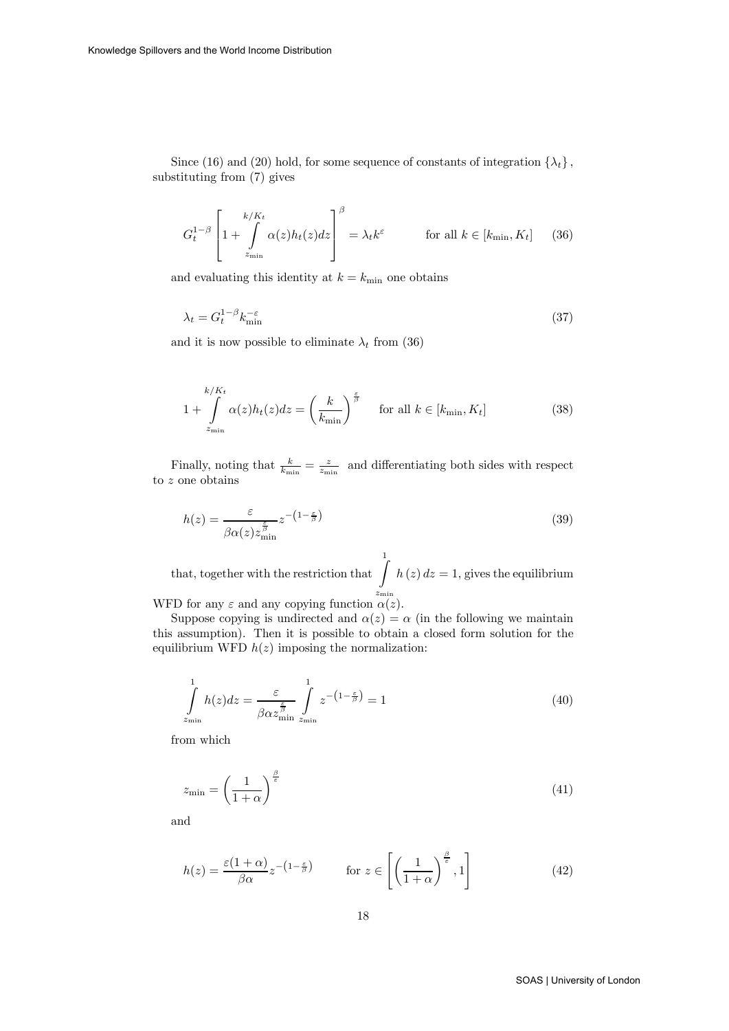Since (16) and (20) hold, for some sequence of constants of integration  $\{\lambda_t\}$ , substituting from (7) gives

$$
G_t^{1-\beta} \left[ 1 + \int\limits_{z_{\min}}^{k/K_t} \alpha(z) h_t(z) dz \right]^{\beta} = \lambda_t k^{\varepsilon} \quad \text{for all } k \in [k_{\min}, K_t] \quad (36)
$$

and evaluating this identity at  $k = k_{\text{min}}$  one obtains

$$
\lambda_t = G_t^{1-\beta} k_{\min}^{-\varepsilon} \tag{37}
$$

and it is now possible to eliminate  $\lambda_t$  from (36)

$$
1 + \int_{z_{\min}}^{k/K_t} \alpha(z) h_t(z) dz = \left(\frac{k}{k_{\min}}\right)^{\frac{\varepsilon}{\beta}} \quad \text{for all } k \in [k_{\min}, K_t]
$$
 (38)

Finally, noting that  $\frac{k}{k_{\min}} = \frac{z}{z_{\min}}$  and differentiating both sides with respect to z one obtains

$$
h(z) = \frac{\varepsilon}{\beta \alpha(z) z_{\min}^{\frac{\varepsilon}{\beta}}} z^{-\left(1 - \frac{\varepsilon}{\beta}\right)}\tag{39}
$$

that, together with the restriction that  $\int$  $z_{\rm min}$  $h(z) dz = 1$ , gives the equilibrium WFD for any  $\varepsilon$  and any copying function  $\alpha(z)$ .

Suppose copying is undirected and  $\alpha(z) = \alpha$  (in the following we maintain

this assumption). Then it is possible to obtain a closed form solution for the equilibrium WFD  $h(z)$  imposing the normalization:

$$
\int_{z_{\min}}^{1} h(z)dz = \frac{\varepsilon}{\beta \alpha z_{\min}^{\frac{\varepsilon}{\beta}}} \int_{z_{\min}}^{1} z^{-\left(1 - \frac{\varepsilon}{\beta}\right)} = 1
$$
\n(40)

from which

$$
z_{\min} = \left(\frac{1}{1+\alpha}\right)^{\frac{\beta}{\epsilon}}\tag{41}
$$

and

$$
h(z) = \frac{\varepsilon (1 + \alpha)}{\beta \alpha} z^{-\left(1 - \frac{\varepsilon}{\beta}\right)} \qquad \text{for } z \in \left[\left(\frac{1}{1 + \alpha}\right)^{\frac{\beta}{\varepsilon}}, 1\right] \tag{42}
$$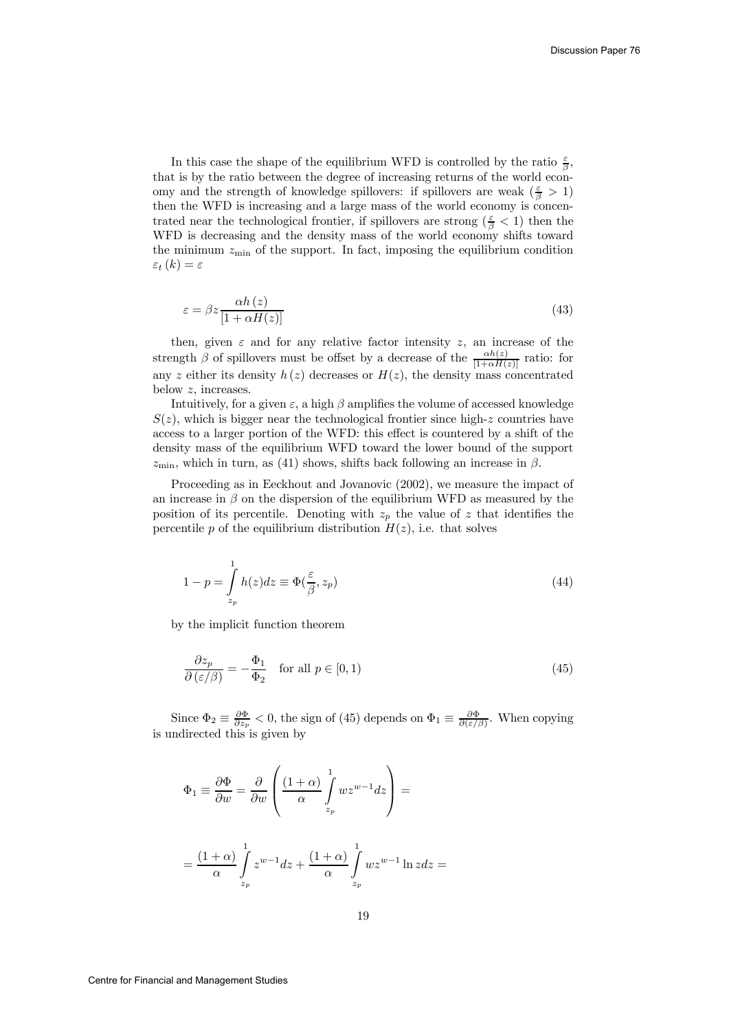In this case the shape of the equilibrium WFD is controlled by the ratio  $\frac{\varepsilon}{\beta}$ , that is by the ratio between the degree of increasing returns of the world economy and the strength of knowledge spillovers: if spillovers are weak ( $\frac{\varepsilon}{\beta} > 1$ ) then the WFD is increasing and a large mass of the world economy is concentrated near the technological frontier, if spillovers are strong  $(\frac{\varepsilon}{\beta} < 1)$  then the WFD is decreasing and the density mass of the world economy shifts toward the minimum  $z_{\text{min}}$  of the support. In fact, imposing the equilibrium condition  $\varepsilon_t(k) = \varepsilon$ 

$$
\varepsilon = \beta z \frac{\alpha h\left(z\right)}{\left[1 + \alpha H\left(z\right)\right]}
$$
\n<sup>(43)</sup>

then, given  $\varepsilon$  and for any relative factor intensity z, an increase of the strength  $\beta$  of spillovers must be offset by a decrease of the  $\frac{\alpha h(z)}{[1+\alpha H(z)]}$  ratio: for any z either its density  $h(z)$  decreases or  $H(z)$ , the density mass concentrated below z, increases.

Intuitively, for a given  $\varepsilon$ , a high  $\beta$  amplifies the volume of accessed knowledge  $S(z)$ , which is bigger near the technological frontier since high-z countries have access to a larger portion of the WFD: this effect is countered by a shift of the density mass of the equilibrium WFD toward the lower bound of the support  $z_{\rm min}$ , which in turn, as (41) shows, shifts back following an increase in  $\beta$ .

Proceeding as in Eeckhout and Jovanovic (2002), we measure the impact of an increase in  $\beta$  on the dispersion of the equilibrium WFD as measured by the position of its percentile. Denoting with  $z_p$  the value of z that identifies the percentile  $p$  of the equilibrium distribution  $H(z)$ , i.e. that solves

$$
1 - p = \int_{z_p}^{1} h(z)dz \equiv \Phi(\frac{\varepsilon}{\beta}, z_p)
$$
\n(44)

by the implicit function theorem

$$
\frac{\partial z_p}{\partial (\varepsilon/\beta)} = -\frac{\Phi_1}{\Phi_2} \quad \text{for all } p \in [0, 1)
$$
\n(45)

Since  $\Phi_2 \equiv \frac{\partial \Phi}{\partial z_p} < 0$ , the sign of (45) depends on  $\Phi_1 \equiv \frac{\partial \Phi}{\partial (\varepsilon/\beta)}$ . When copying is undirected this is given by

$$
\Phi_1 \equiv \frac{\partial \Phi}{\partial w} = \frac{\partial}{\partial w} \left( \frac{(1+\alpha)}{\alpha} \int_{z_p}^1 w z^{w-1} dz \right) =
$$

$$
= \frac{(1+\alpha)}{\alpha} \int_{z_p}^1 z^{w-1} dz + \frac{(1+\alpha)}{\alpha} \int_{z_p}^1 w z^{w-1} \ln z dz =
$$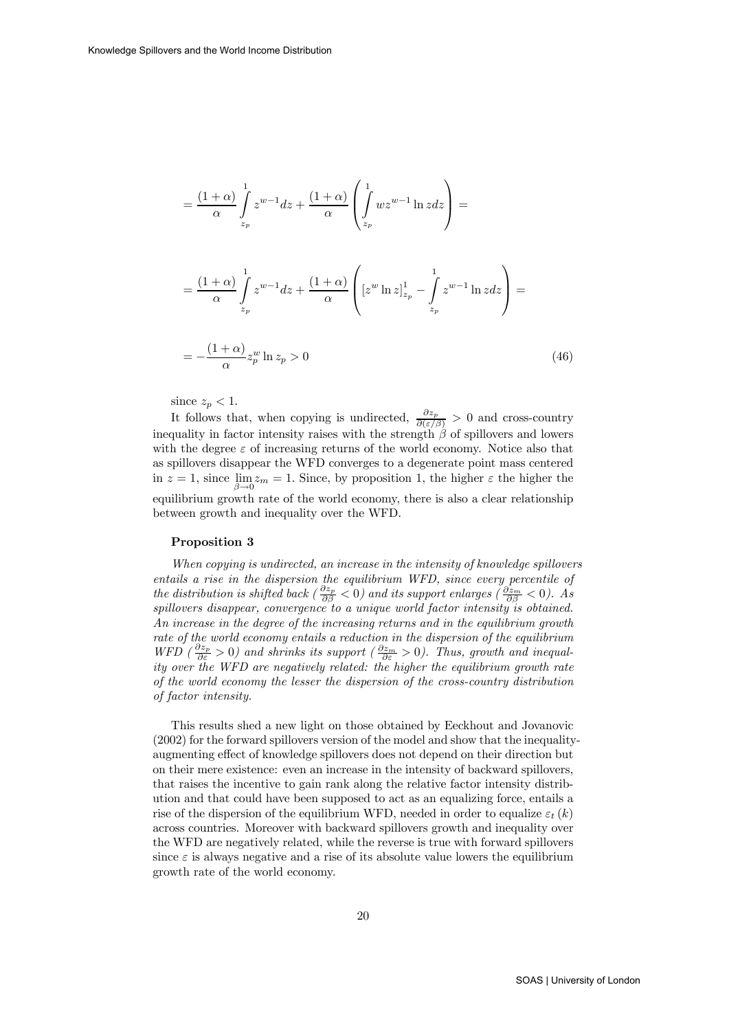$$
= \frac{(1+\alpha)}{\alpha} \int_{z_p}^1 z^{w-1} dz + \frac{(1+\alpha)}{\alpha} \left( \int_{z_p}^1 wz^{w-1} \ln z dz \right) =
$$
  

$$
= \frac{(1+\alpha)}{\alpha} \int_{z_p}^1 z^{w-1} dz + \frac{(1+\alpha)}{\alpha} \left( \left[ z^w \ln z \right]_{z_p}^1 - \int_{z_p}^1 z^{w-1} \ln z dz \right) =
$$
  

$$
= -\frac{(1+\alpha)}{\alpha} z_p^w \ln z_p > 0
$$
 (46)

since  $z_p < 1$ .

It follows that, when copying is undirected,  $\frac{\partial z_p}{\partial(\varepsilon/\beta)} > 0$  and cross-country inequality in factor intensity raises with the strength  $\hat{\beta}$  of spillovers and lowers with the degree  $\varepsilon$  of increasing returns of the world economy. Notice also that as spillovers disappear the WFD converges to a degenerate point mass centered in  $z = 1$ , since  $\lim_{m \to \infty} z_m = 1$ . Since, by proposition 1, the higher  $\varepsilon$  the higher the  $\beta \rightarrow 0$  ...<br>equilibrium growth rate of the world economy, there is also a clear relationship between growth and inequality over the WFD.

#### Proposition 3

When copying is undirected, an increase in the intensity of knowledge spillovers entails a rise in the dispersion the equilibrium WFD, since every percentile of the distribution is shifted back ( $\frac{\partial z_p}{\partial \beta} < 0$ ) and its support enlarges ( $\frac{\partial z_m}{\partial \beta} < 0$ ). As spillovers disappear, convergence to a unique world factor intensity is obtained. An increase in the degree of the increasing returns and in the equilibrium growth rate of the world economy entails a reduction in the dispersion of the equilibrium WFD  $(\frac{\partial z_p}{\partial \epsilon} > 0)$  and shrinks its support  $(\frac{\partial z_m}{\partial \epsilon} > 0)$ . Thus, growth and inequality over the WFD are negatively related: the higher the equilibrium growth rate of the world economy the lesser the dispersion of the cross-country distribution of factor intensity.

This results shed a new light on those obtained by Eeckhout and Jovanovic (2002) for the forward spillovers version of the model and show that the inequalityaugmenting effect of knowledge spillovers does not depend on their direction but on their mere existence: even an increase in the intensity of backward spillovers, that raises the incentive to gain rank along the relative factor intensity distribution and that could have been supposed to act as an equalizing force, entails a rise of the dispersion of the equilibrium WFD, needed in order to equalize  $\varepsilon_t (k)$ across countries. Moreover with backward spillovers growth and inequality over the WFD are negatively related, while the reverse is true with forward spillovers since  $\varepsilon$  is always negative and a rise of its absolute value lowers the equilibrium growth rate of the world economy.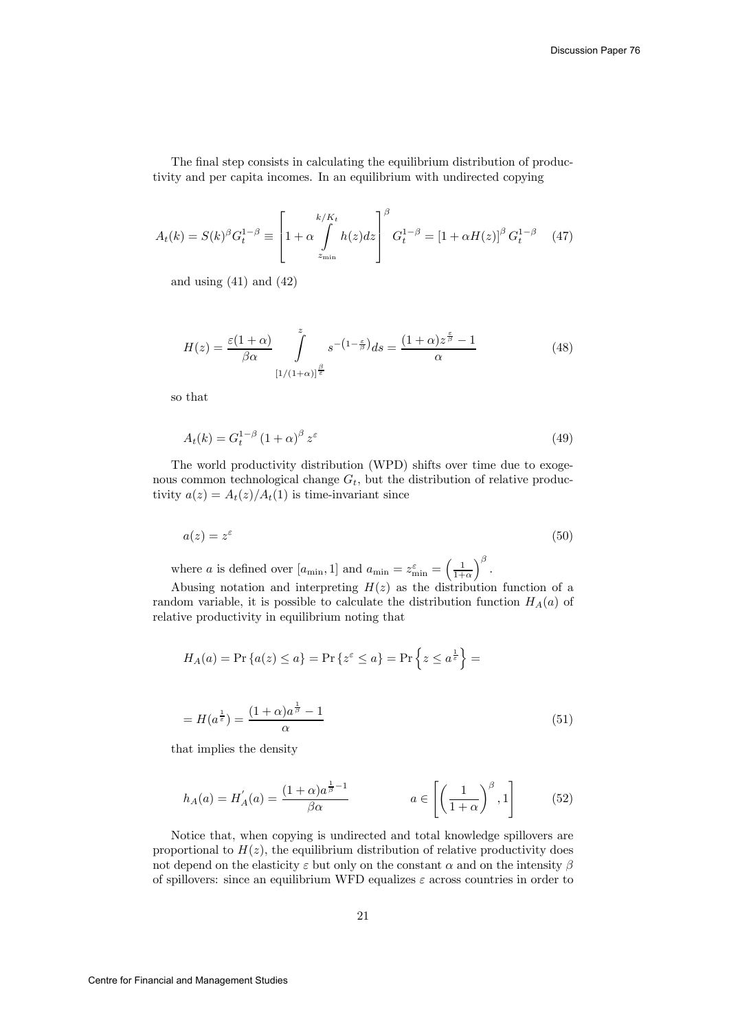The final step consists in calculating the equilibrium distribution of productivity and per capita incomes. In an equilibrium with undirected copying

$$
A_t(k) = S(k)^{\beta} G_t^{1-\beta} \equiv \left[ 1 + \alpha \int_{z_{\min}}^{k/K_t} h(z) dz \right]^{\beta} G_t^{1-\beta} = \left[ 1 + \alpha H(z) \right]^{\beta} G_t^{1-\beta} \tag{47}
$$

and using  $(41)$  and  $(42)$ 

$$
H(z) = \frac{\varepsilon (1 + \alpha)}{\beta \alpha} \int_{[1/(1+\alpha)]^{\frac{\beta}{\varepsilon}}}^z s^{-(1-\frac{\varepsilon}{\beta})} ds = \frac{(1+\alpha)z^{\frac{\varepsilon}{\beta}} - 1}{\alpha}
$$
(48)

so that

$$
A_t(k) = G_t^{1-\beta} \left(1+\alpha\right)^{\beta} z^{\varepsilon} \tag{49}
$$

The world productivity distribution (WPD) shifts over time due to exogenous common technological change  $G_t$ , but the distribution of relative productivity  $a(z) = A_t(z)/A_t(1)$  is time-invariant since

$$
a(z) = z^{\varepsilon} \tag{50}
$$

where *a* is defined over  $[a_{\min}, 1]$  and  $a_{\min} = z_{\min}^{\varepsilon} = \left(\frac{1}{1+\alpha}\right)$  $\big)^{\beta}$ .

Abusing notation and interpreting  $H(z)$  as the distribution function of a random variable, it is possible to calculate the distribution function  $H_A(a)$  of relative productivity in equilibrium noting that

$$
H_A(a) = \Pr\left\{a(z) \le a\right\} = \Pr\left\{z^{\varepsilon} \le a\right\} = \Pr\left\{z \le a^{\frac{1}{\varepsilon}}\right\} =
$$

$$
= H(a^{\frac{1}{\varepsilon}}) = \frac{(1+\alpha)a^{\frac{1}{\beta}} - 1}{\alpha} \tag{51}
$$

that implies the density

$$
h_A(a) = H'_A(a) = \frac{(1+\alpha)a^{\frac{1}{\beta}-1}}{\beta\alpha} \qquad a \in \left[\left(\frac{1}{1+\alpha}\right)^{\beta}, 1\right] \tag{52}
$$

Notice that, when copying is undirected and total knowledge spillovers are proportional to  $H(z)$ , the equilibrium distribution of relative productivity does not depend on the elasticity  $\varepsilon$  but only on the constant  $\alpha$  and on the intensity  $\beta$ of spillovers: since an equilibrium WFD equalizes  $\varepsilon$  across countries in order to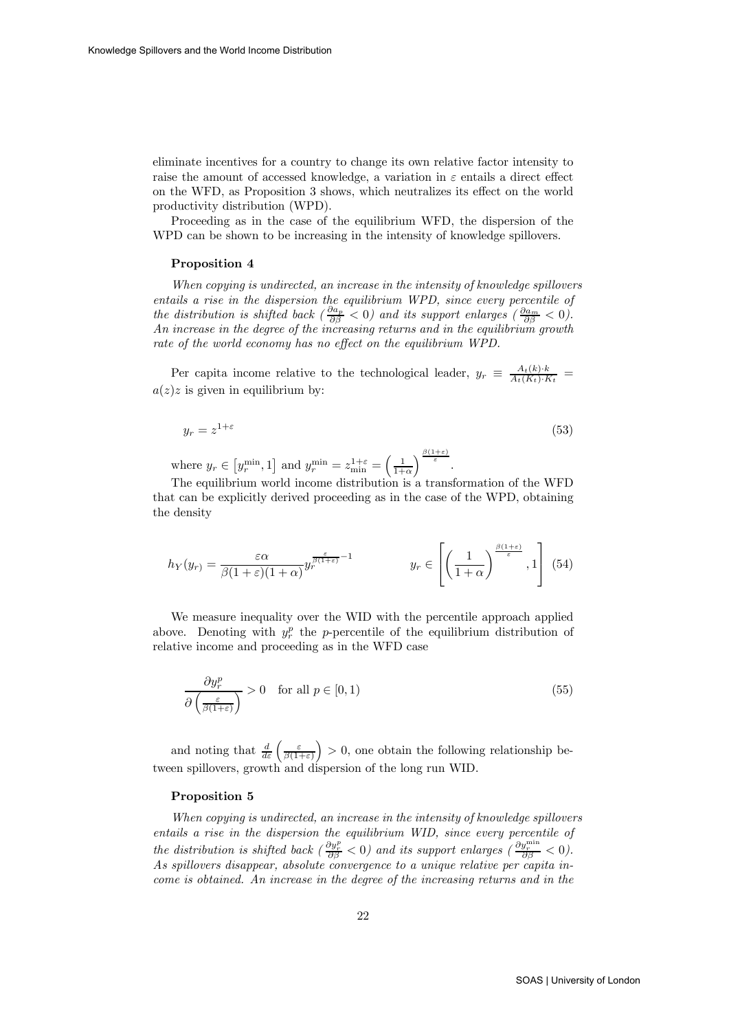eliminate incentives for a country to change its own relative factor intensity to raise the amount of accessed knowledge, a variation in  $\varepsilon$  entails a direct effect on the WFD, as Proposition 3 shows, which neutralizes its effect on the world productivity distribution (WPD).

Proceeding as in the case of the equilibrium WFD, the dispersion of the WPD can be shown to be increasing in the intensity of knowledge spillovers.

#### Proposition 4

When copying is undirected, an increase in the intensity of knowledge spillovers entails a rise in the dispersion the equilibrium WPD, since every percentile of the distribution is shifted back  $\left(\frac{\partial a_p}{\partial \beta} < 0\right)$  and its support enlarges  $\left(\frac{\partial a_m}{\partial \beta} < 0\right)$ . An increase in the degree of the increasing returns and in the equilibrium growth rate of the world economy has no effect on the equilibrium WPD.

Per capita income relative to the technological leader,  $y_r \equiv \frac{A_t(k) \cdot k}{A_t(K_t) \cdot K_t}$  $a(z)z$  is given in equilibrium by:

$$
y_r = z^{1+\varepsilon} \tag{53}
$$

where  $y_r \in [y_r^{\min}, 1]$  and  $y_r^{\min} = z_{\min}^{1+\varepsilon} = \left(\frac{1}{1+\alpha}\right)$  $\int^{\frac{\beta(1+\varepsilon)}{\varepsilon}}$ .

The equilibrium world income distribution is a transformation of the WFD that can be explicitly derived proceeding as in the case of the WPD, obtaining the density

$$
h_Y(y_r) = \frac{\varepsilon \alpha}{\beta (1+\varepsilon)(1+\alpha)} y_r^{\frac{\varepsilon}{\beta(1+\varepsilon)} - 1} \qquad y_r \in \left[ \left( \frac{1}{1+\alpha} \right)^{\frac{\beta(1+\varepsilon)}{\varepsilon}}, 1 \right] \tag{54}
$$

We measure inequality over the WID with the percentile approach applied above. Denoting with  $y_r^p$  the p-percentile of the equilibrium distribution of relative income and proceeding as in the WFD case

$$
\frac{\partial y_r^p}{\partial \left(\frac{\varepsilon}{\beta(1+\varepsilon)}\right)} > 0 \quad \text{for all } p \in [0, 1)
$$
\n(55)

and noting that  $\frac{d}{d\varepsilon} \left( \frac{\varepsilon}{\beta(1+\varepsilon)} \right)$  $\big) > 0$ , one obtain the following relationship between spillovers, growth and dispersion of the long run WID.

#### Proposition 5

When copying is undirected, an increase in the intensity of knowledge spillovers entails a rise in the dispersion the equilibrium WID, since every percentile of the distribution is shifted back  $\left(\frac{\partial y_r^p}{\partial \beta} < 0\right)$  and its support enlarges  $\left(\frac{\partial y_r^{\text{min}}}{\partial \beta} < 0\right)$ . As spillovers disappear, absolute convergence to a unique relative per capita income is obtained. An increase in the degree of the increasing returns and in the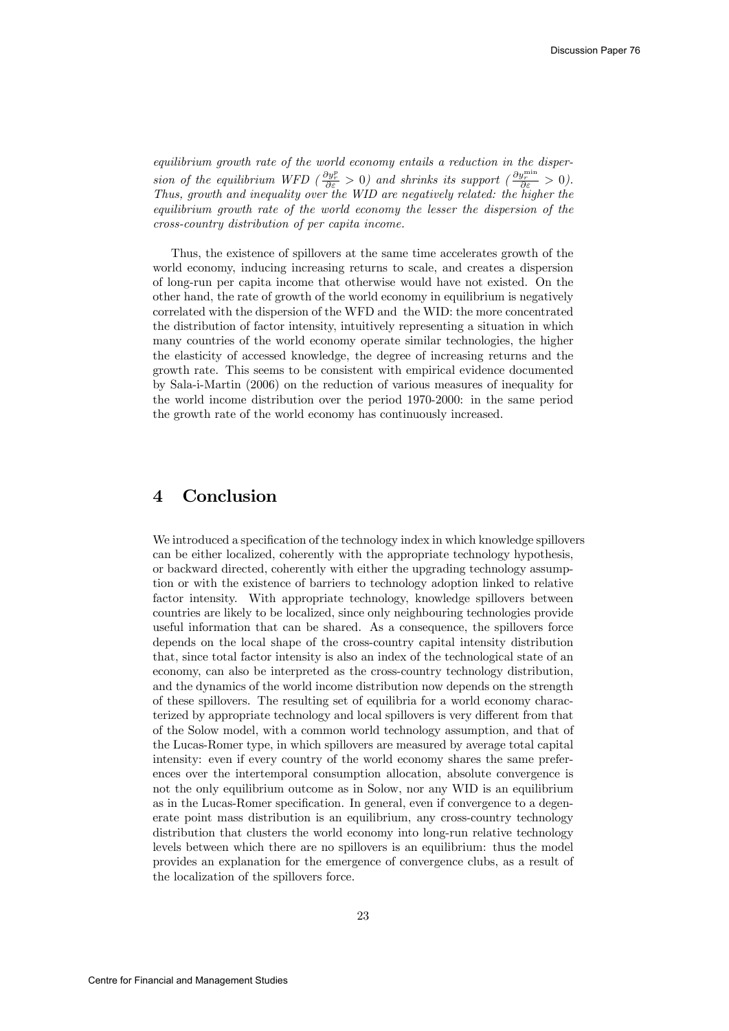equilibrium growth rate of the world economy entails a reduction in the dispersion of the equilibrium WFD  $\left(\frac{\partial y_r^p}{\partial \varepsilon} > 0\right)$  and shrinks its support  $\left(\frac{\partial y_r^{\min}}{\partial \varepsilon} > 0\right)$ . Thus, growth and inequality over the WID are negatively related: the higher the equilibrium growth rate of the world economy the lesser the dispersion of the cross-country distribution of per capita income.

Thus, the existence of spillovers at the same time accelerates growth of the world economy, inducing increasing returns to scale, and creates a dispersion of long-run per capita income that otherwise would have not existed. On the other hand, the rate of growth of the world economy in equilibrium is negatively correlated with the dispersion of the WFD and the WID: the more concentrated the distribution of factor intensity, intuitively representing a situation in which many countries of the world economy operate similar technologies, the higher the elasticity of accessed knowledge, the degree of increasing returns and the growth rate. This seems to be consistent with empirical evidence documented by Sala-i-Martin (2006) on the reduction of various measures of inequality for the world income distribution over the period 1970-2000: in the same period the growth rate of the world economy has continuously increased.

# 4 Conclusion

We introduced a specification of the technology index in which knowledge spillovers can be either localized, coherently with the appropriate technology hypothesis, or backward directed, coherently with either the upgrading technology assumption or with the existence of barriers to technology adoption linked to relative factor intensity. With appropriate technology, knowledge spillovers between countries are likely to be localized, since only neighbouring technologies provide useful information that can be shared. As a consequence, the spillovers force depends on the local shape of the cross-country capital intensity distribution that, since total factor intensity is also an index of the technological state of an economy, can also be interpreted as the cross-country technology distribution, and the dynamics of the world income distribution now depends on the strength of these spillovers. The resulting set of equilibria for a world economy characterized by appropriate technology and local spillovers is very different from that of the Solow model, with a common world technology assumption, and that of the Lucas-Romer type, in which spillovers are measured by average total capital intensity: even if every country of the world economy shares the same preferences over the intertemporal consumption allocation, absolute convergence is not the only equilibrium outcome as in Solow, nor any WID is an equilibrium as in the Lucas-Romer specification. In general, even if convergence to a degenerate point mass distribution is an equilibrium, any cross-country technology distribution that clusters the world economy into long-run relative technology levels between which there are no spillovers is an equilibrium: thus the model provides an explanation for the emergence of convergence clubs, as a result of the localization of the spillovers force.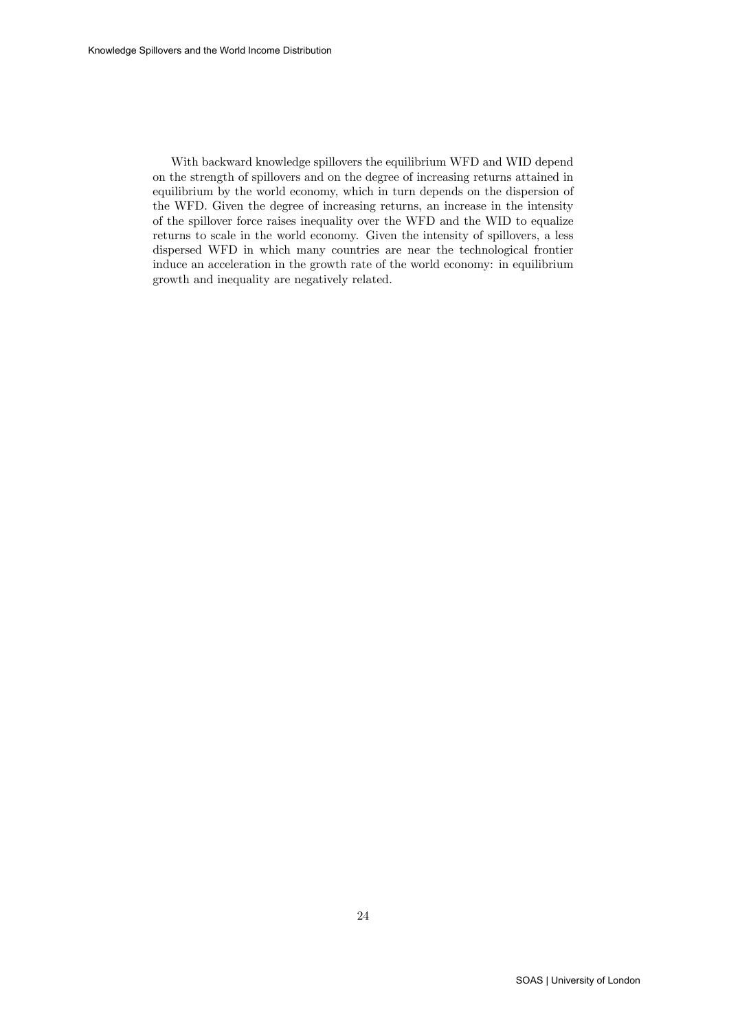With backward knowledge spillovers the equilibrium WFD and WID depend on the strength of spillovers and on the degree of increasing returns attained in equilibrium by the world economy, which in turn depends on the dispersion of the WFD. Given the degree of increasing returns, an increase in the intensity of the spillover force raises inequality over the WFD and the WID to equalize returns to scale in the world economy. Given the intensity of spillovers, a less dispersed WFD in which many countries are near the technological frontier induce an acceleration in the growth rate of the world economy: in equilibrium growth and inequality are negatively related.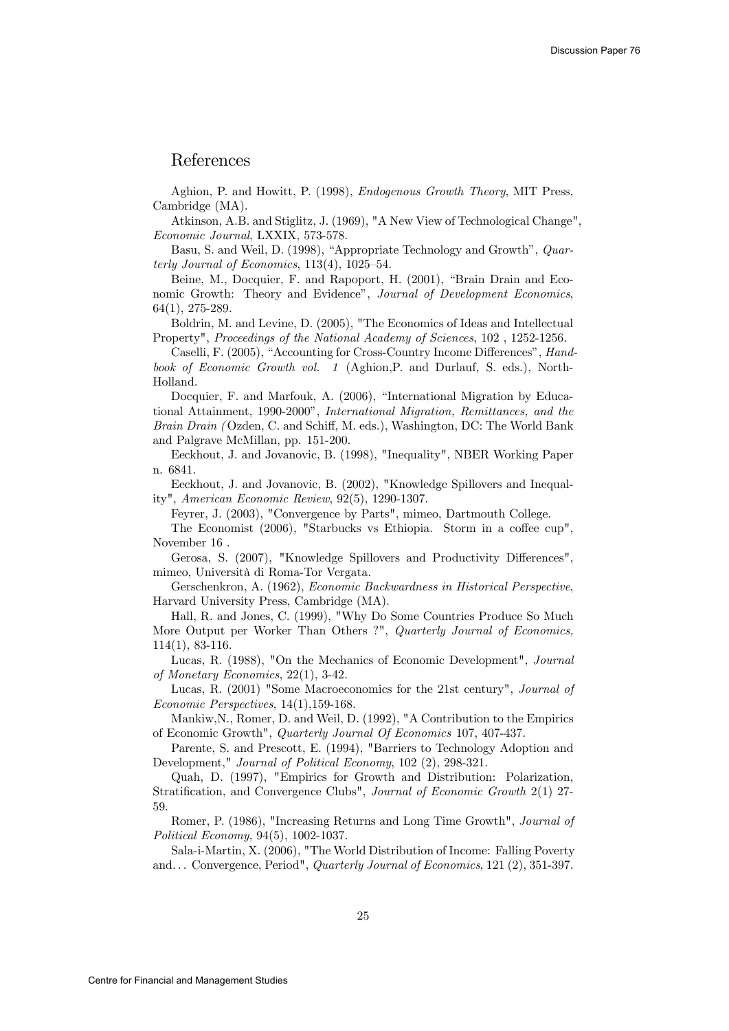### References

Aghion, P. and Howitt, P. (1998), Endogenous Growth Theory, MIT Press, Cambridge (MA).

Atkinson, A.B. and Stiglitz, J. (1969), "A New View of Technological Change", Economic Journal, LXXIX, 573-578.

Basu, S. and Weil, D. (1998), "Appropriate Technology and Growth", Quarterly Journal of Economics,  $113(4)$ ,  $1025-54$ .

Beine, M., Docquier, F. and Rapoport, H. (2001), "Brain Drain and Economic Growth: Theory and Evidence", Journal of Development Economics, 64(1), 275-289.

Boldrin, M. and Levine, D. (2005), "The Economics of Ideas and Intellectual Property", Proceedings of the National Academy of Sciences, 102 , 1252-1256.

Caselli, F. (2005), "Accounting for Cross-Country Income Differences", Handbook of Economic Growth vol. 1 (Aghion,P. and Durlauf, S. eds.), North-Holland.

Docquier, F. and Marfouk, A. (2006), "International Migration by Educational Attainment, 1990-2000", International Migration, Remittances, and the Brain Drain ( Ozden, C. and Schiff, M. eds.), Washington, DC: The World Bank and Palgrave McMillan, pp. 151-200.

Eeckhout, J. and Jovanovic, B. (1998), "Inequality", NBER Working Paper n. 6841.

Eeckhout, J. and Jovanovic, B. (2002), "Knowledge Spillovers and Inequality", American Economic Review, 92(5), 1290-1307.

Feyrer, J. (2003), "Convergence by Parts", mimeo, Dartmouth College.

The Economist (2006), "Starbucks vs Ethiopia. Storm in a coffee cup", November 16 .

Gerosa, S. (2007), "Knowledge Spillovers and Productivity Differences", mimeo, Università di Roma-Tor Vergata.

Gerschenkron, A. (1962), Economic Backwardness in Historical Perspective, Harvard University Press, Cambridge (MA).

Hall, R. and Jones, C. (1999), "Why Do Some Countries Produce So Much More Output per Worker Than Others ?", Quarterly Journal of Economics, 114(1), 83-116.

Lucas, R. (1988), "On the Mechanics of Economic Development", Journal of Monetary Economics, 22(1), 3-42.

Lucas, R. (2001) "Some Macroeconomics for the 21st century", Journal of Economic Perspectives, 14(1),159-168.

Mankiw,N., Romer, D. and Weil, D. (1992), "A Contribution to the Empirics of Economic Growth", Quarterly Journal Of Economics 107, 407-437.

Parente, S. and Prescott, E. (1994), "Barriers to Technology Adoption and Development," Journal of Political Economy, 102 (2), 298-321.

Quah, D. (1997), "Empirics for Growth and Distribution: Polarization, Stratification, and Convergence Clubs", Journal of Economic Growth 2(1) 27- 59.

Romer, P. (1986), "Increasing Returns and Long Time Growth", Journal of Political Economy, 94(5), 1002-1037.

Sala-i-Martin, X. (2006), "The World Distribution of Income: Falling Poverty and... Convergence, Period", Quarterly Journal of Economics, 121 (2), 351-397.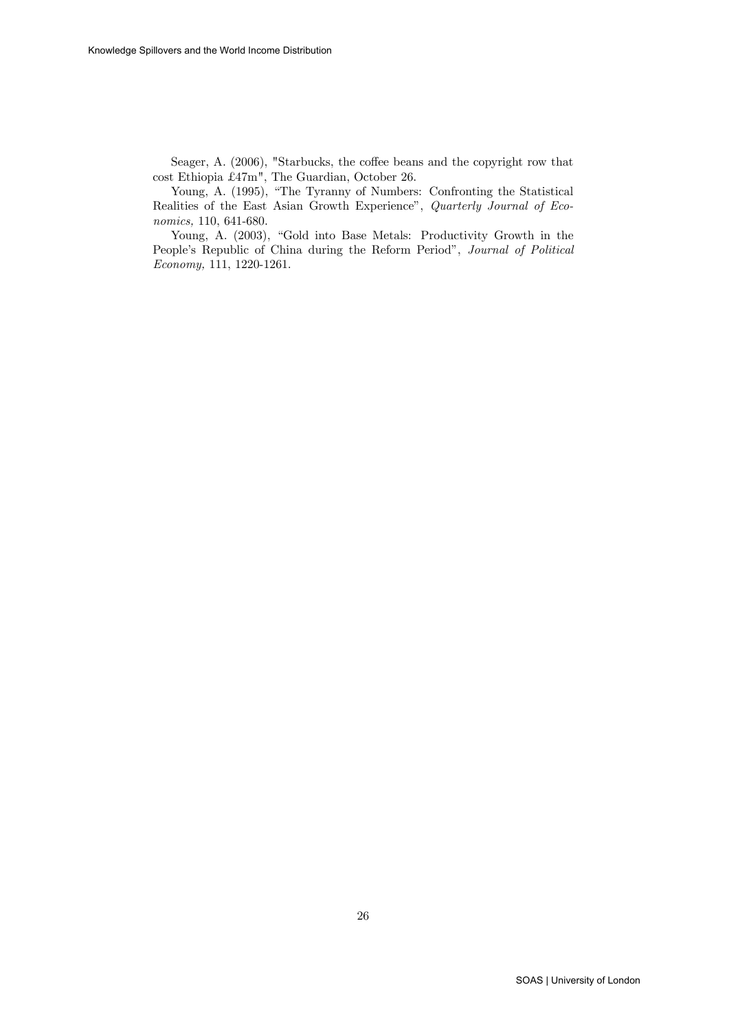Seager, A. (2006), "Starbucks, the coffee beans and the copyright row that cost Ethiopia £47m", The Guardian, October 26.

Young, A. (1995), "The Tyranny of Numbers: Confronting the Statistical Realities of the East Asian Growth Experience", Quarterly Journal of Economics, 110, 641-680.

Young, A. (2003), "Gold into Base Metals: Productivity Growth in the People's Republic of China during the Reform Period", Journal of Political Economy, 111, 1220-1261.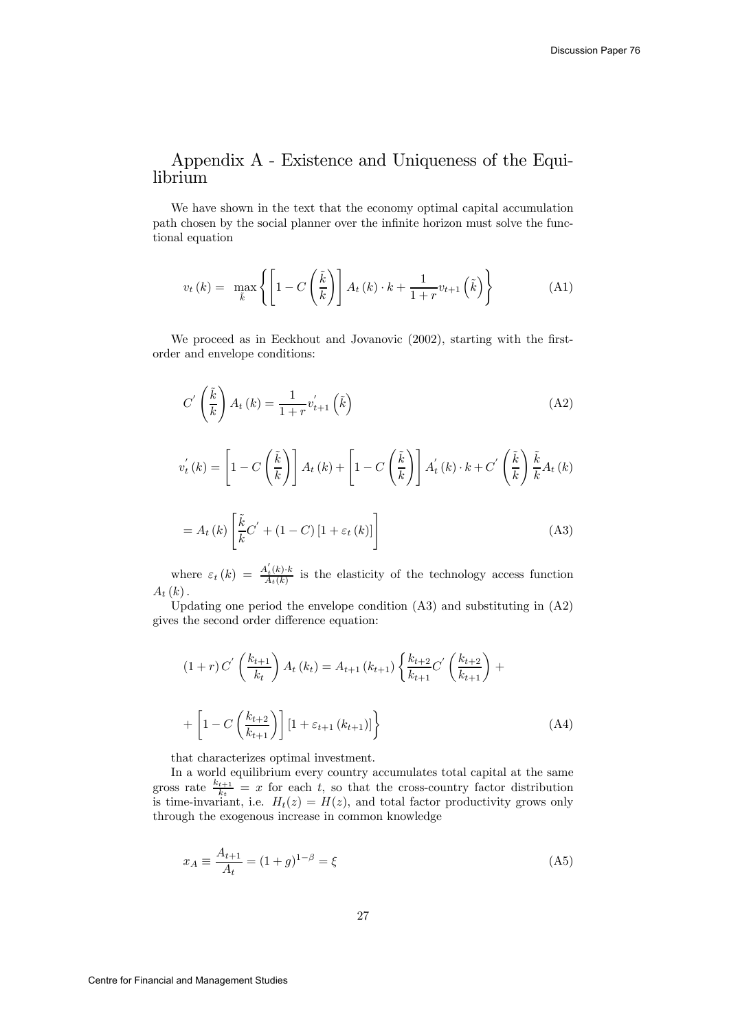# Appendix A - Existence and Uniqueness of the Equilibrium

We have shown in the text that the economy optimal capital accumulation path chosen by the social planner over the infinite horizon must solve the functional equation

$$
v_t(k) = \max_{\tilde{k}} \left\{ \left[ 1 - C\left(\frac{\tilde{k}}{k}\right) \right] A_t(k) \cdot k + \frac{1}{1+r} v_{t+1} \left(\tilde{k}\right) \right\} \tag{A1}
$$

We proceed as in Eeckhout and Jovanovic (2002), starting with the firstorder and envelope conditions:

$$
C'\left(\frac{\tilde{k}}{k}\right)A_t(k) = \frac{1}{1+r}v'_{t+1}\left(\tilde{k}\right)
$$
\n(A2)

$$
v_t^{'}(k) = \left[1 - C\left(\frac{\tilde{k}}{k}\right)\right] A_t(k) + \left[1 - C\left(\frac{\tilde{k}}{k}\right)\right] A'_t(k) \cdot k + C'\left(\frac{\tilde{k}}{k}\right) \frac{\tilde{k}}{k} A_t(k)
$$

$$
= A_t(k) \left[\frac{\tilde{k}}{k} C' + (1 - C) \left[1 + \varepsilon_t(k)\right]\right]
$$
(A3)

where  $\varepsilon_t(k) = \frac{A'_t(k) \cdot k}{A_t(k)}$  is the elasticity of the technology access function  $A_t(k)$ .

Updating one period the envelope condition (A3) and substituting in (A2) gives the second order difference equation:

$$
(1+r) C' \left(\frac{k_{t+1}}{k_t}\right) A_t (k_t) = A_{t+1} (k_{t+1}) \left\{ \frac{k_{t+2}}{k_{t+1}} C' \left(\frac{k_{t+2}}{k_{t+1}}\right) + \right.
$$
  
+ 
$$
\left[1 - C \left(\frac{k_{t+2}}{k_{t+1}}\right) \right] \left[1 + \varepsilon_{t+1} (k_{t+1})\right] \right\}
$$
(A4)

that characterizes optimal investment.

In a world equilibrium every country accumulates total capital at the same gross rate  $\frac{k_{t+1}}{k_t} = x$  for each t, so that the cross-country factor distribution is time-invariant, i.e.  $H_t(z) = H(z)$ , and total factor productivity grows only through the exogenous increase in common knowledge

$$
x_A \equiv \frac{A_{t+1}}{A_t} = (1+g)^{1-\beta} = \xi \tag{A5}
$$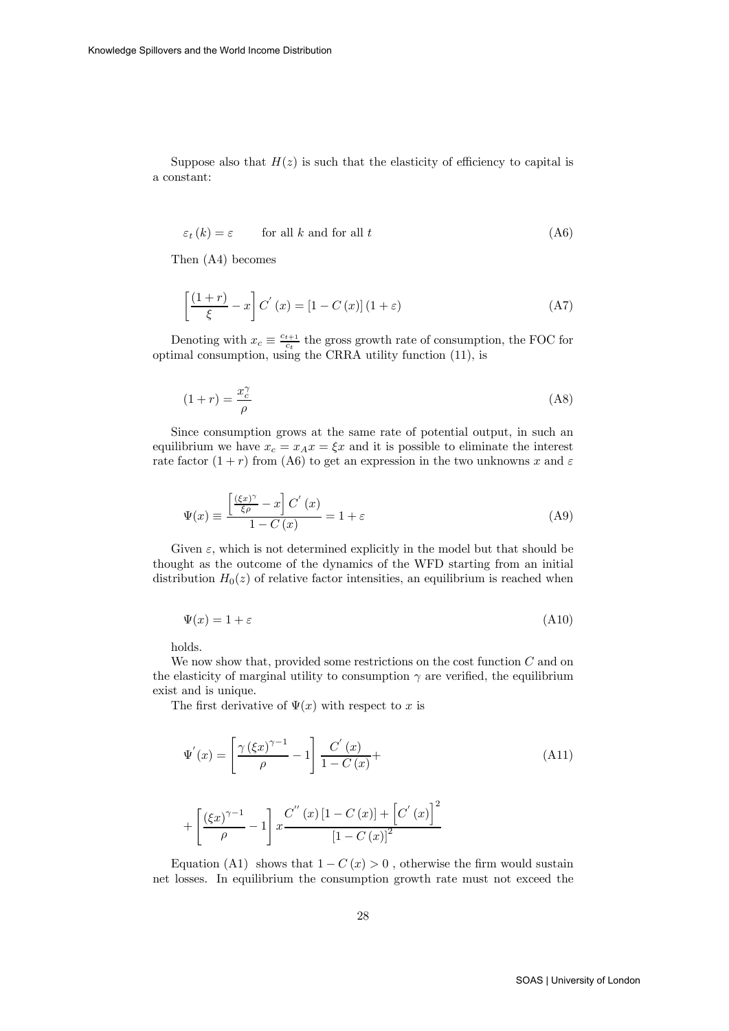Suppose also that  $H(z)$  is such that the elasticity of efficiency to capital is a constant:

$$
\varepsilon_t(k) = \varepsilon \qquad \text{for all } k \text{ and for all } t \tag{A6}
$$

Then (A4) becomes

$$
\left[\frac{(1+r)}{\xi} - x\right] C^{'}\left(x\right) = \left[1 - C\left(x\right)\right] \left(1 + \varepsilon\right) \tag{A7}
$$

Denoting with  $x_c \equiv \frac{c_{t+1}}{c_t}$  the gross growth rate of consumption, the FOC for optimal consumption, using the CRRA utility function (11), is

$$
(1+r) = \frac{x_c^{\gamma}}{\rho} \tag{A8}
$$

Since consumption grows at the same rate of potential output, in such an equilibrium we have  $x_c = x_A x = \xi x$  and it is possible to eliminate the interest rate factor  $(1 + r)$  from (A6) to get an expression in the two unknowns x and  $\varepsilon$ 

$$
\Psi(x) \equiv \frac{\left[\frac{(\xi x)^{\gamma}}{\xi \rho} - x\right] C'(x)}{1 - C(x)} = 1 + \varepsilon
$$
\n(A9)

Given  $\varepsilon$ , which is not determined explicitly in the model but that should be thought as the outcome of the dynamics of the WFD starting from an initial distribution  $H_0(z)$  of relative factor intensities, an equilibrium is reached when

$$
\Psi(x) = 1 + \varepsilon \tag{A10}
$$

holds.

We now show that, provided some restrictions on the cost function  $C$  and on the elasticity of marginal utility to consumption  $\gamma$  are verified, the equilibrium exist and is unique.

The first derivative of  $\Psi(x)$  with respect to x is

$$
\Psi'(x) = \left[\frac{\gamma (\xi x)^{\gamma - 1}}{\rho} - 1\right] \frac{C'(x)}{1 - C(x)} +
$$
\n(A11)

$$
+ \left[ \frac{\left( \xi x \right)^{\gamma - 1}}{\rho} - 1 \right] x \frac{C^{''}(x) \left[ 1 - C(x) \right] + \left[ C^{'}(x) \right]^2}{\left[ 1 - C(x) \right]^2}
$$

Equation (A1) shows that  $1 - C(x) > 0$ , otherwise the firm would sustain net losses. In equilibrium the consumption growth rate must not exceed the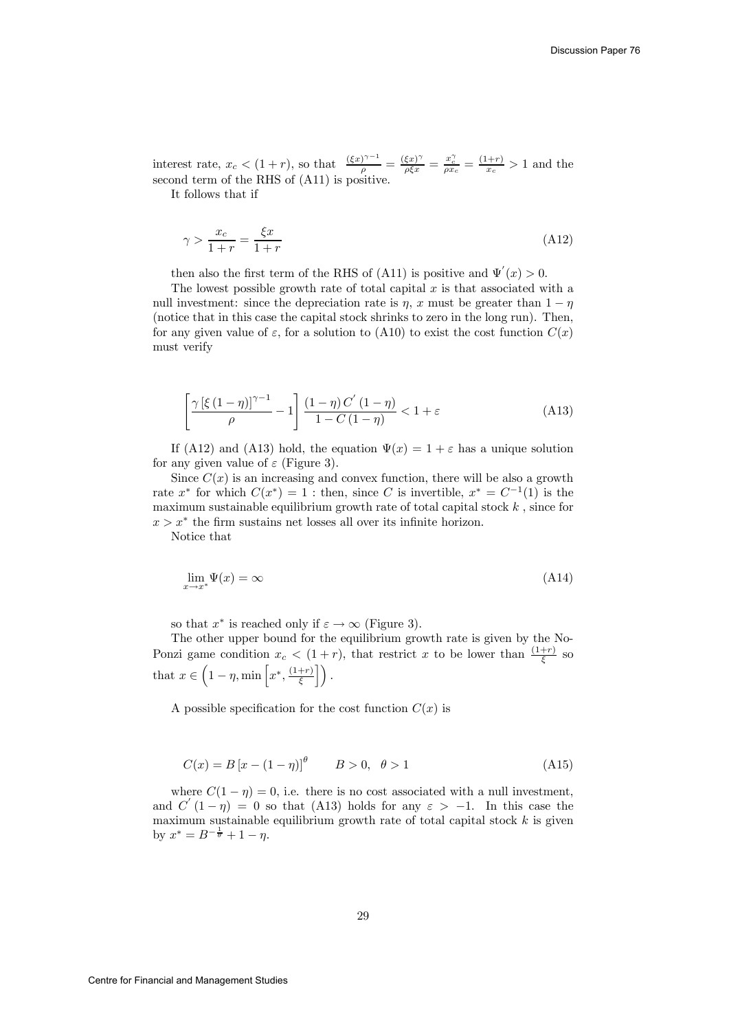interest rate,  $x_c < (1+r)$ , so that  $\frac{(\xi x)^{\gamma-1}}{\rho} = \frac{(\xi x)^{\gamma}}{\rho \xi x} = \frac{x_c^{\gamma}}{\rho x_c} = \frac{(1+r)}{x_c} > 1$  and the second term of the RHS of (A11) is positive.

It follows that if

$$
\gamma > \frac{x_c}{1+r} = \frac{\xi x}{1+r} \tag{A12}
$$

then also the first term of the RHS of (A11) is positive and  $\Psi'(x) > 0$ .

The lowest possible growth rate of total capital  $x$  is that associated with a null investment: since the depreciation rate is  $\eta$ , x must be greater than  $1 - \eta$ (notice that in this case the capital stock shrinks to zero in the long run). Then, for any given value of  $\varepsilon$ , for a solution to (A10) to exist the cost function  $C(x)$ must verify

$$
\left[\frac{\gamma\left[\xi\left(1-\eta\right)\right]^{\gamma-1}}{\rho}-1\right]\frac{\left(1-\eta\right)C^{'}\left(1-\eta\right)}{1-C\left(1-\eta\right)} < 1+\varepsilon\tag{A13}
$$

If (A12) and (A13) hold, the equation  $\Psi(x)=1+\varepsilon$  has a unique solution for any given value of  $\varepsilon$  (Figure 3).

Since  $C(x)$  is an increasing and convex function, there will be also a growth rate  $x^*$  for which  $C(x^*)=1$ : then, since C is invertible,  $x^* = C^{-1}(1)$  is the maximum sustainable equilibrium growth rate of total capital stock  $k$ , since for  $x>x^*$  the firm sustains net losses all over its infinite horizon.

Notice that

$$
\lim_{x \to x^*} \Psi(x) = \infty \tag{A14}
$$

so that  $x^*$  is reached only if  $\varepsilon \to \infty$  (Figure 3).

The other upper bound for the equilibrium growth rate is given by the No-Ponzi game condition  $x_c < (1+r)$ , that restrict x to be lower than  $\frac{(1+r)}{\xi}$  so that  $x \in \left(1 - \eta, \min\left[x^*, \frac{(1+r)}{\xi}\right]\right)$ .

A possible specification for the cost function  $C(x)$  is

$$
C(x) = B[x - (1 - \eta)]^{\theta} \qquad B > 0, \ \theta > 1
$$
 (A15)

where  $C(1 - \eta) = 0$ , i.e. there is no cost associated with a null investment, and  $C'(1 - \eta) = 0$  so that (A13) holds for any  $\varepsilon > -1$ . In this case the maximum sustainable equilibrium growth rate of total capital stock  $k$  is given by  $x^* = B^{-\frac{1}{\theta}} + 1 - \eta$ .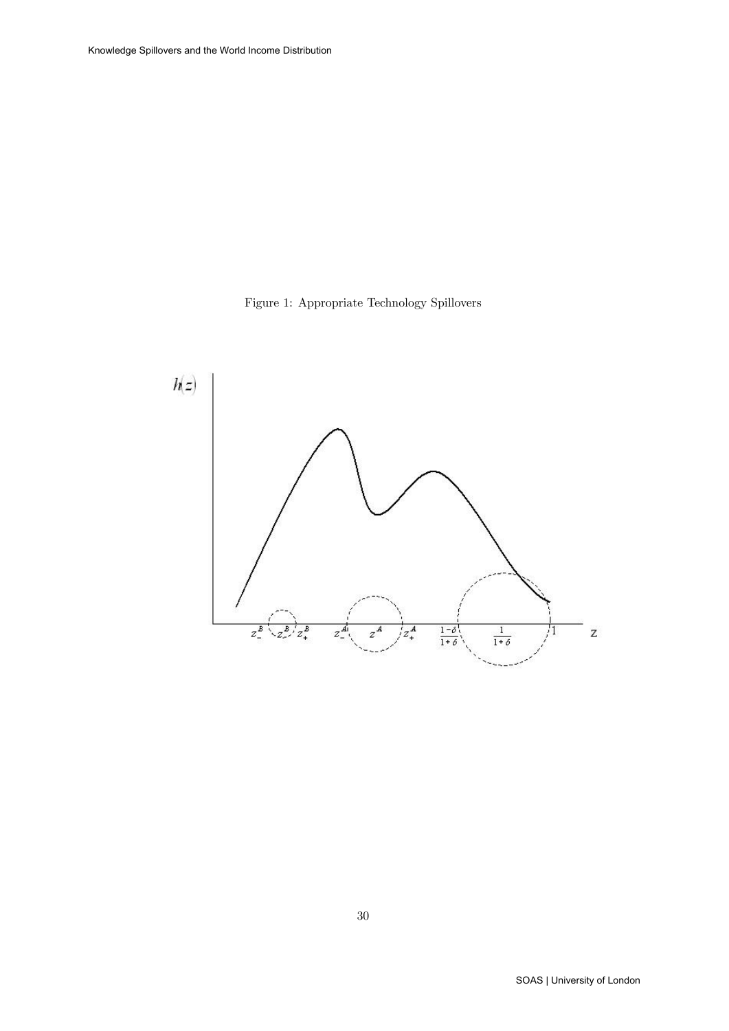

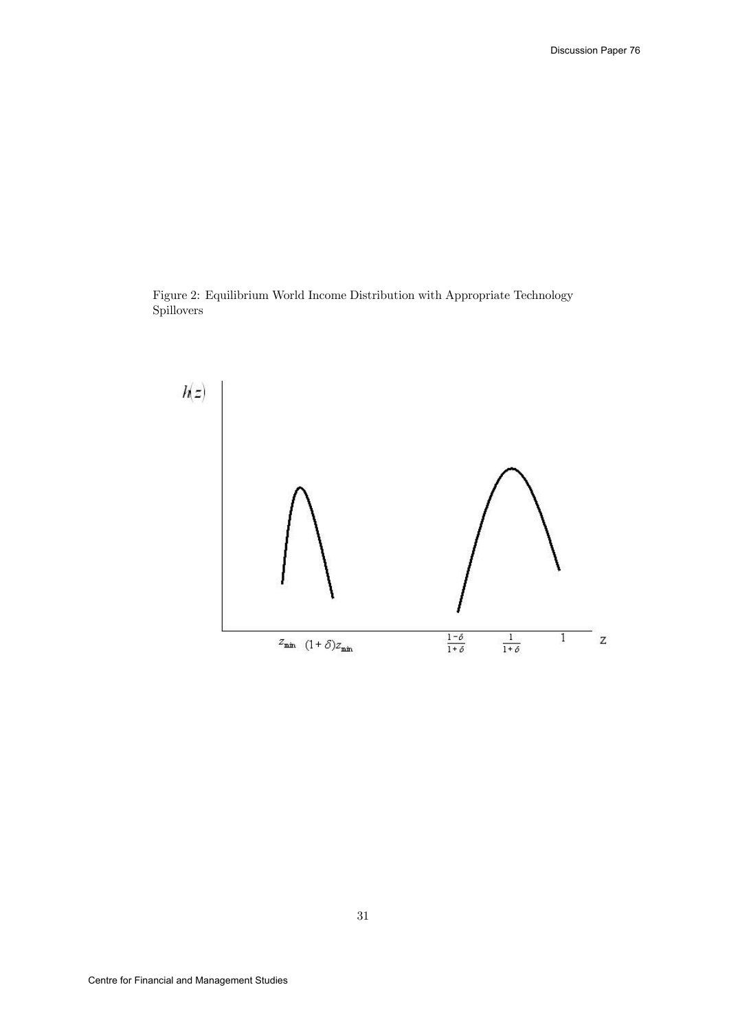Figure 2: Equilibrium World Income Distribution with Appropriate Technology Spillovers